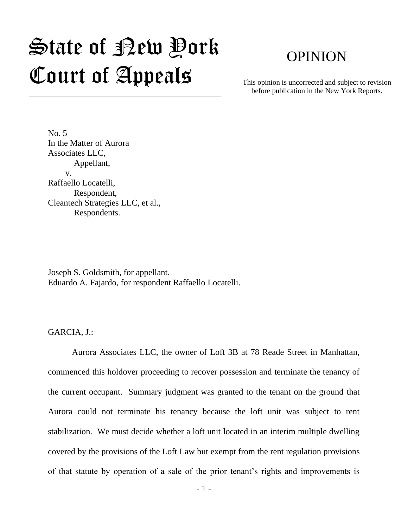# $\mathfrak{S}$ tate of Pew Pork Court of Appeals

# OPINION

This opinion is uncorrected and subject to revision before publication in the New York Reports.

No. 5 In the Matter of Aurora Associates LLC, Appellant, v. Raffaello Locatelli, Respondent, Cleantech Strategies LLC, et al., Respondents.

Joseph S. Goldsmith, for appellant. Eduardo A. Fajardo, for respondent Raffaello Locatelli.

GARCIA, J.:

Aurora Associates LLC, the owner of Loft 3B at 78 Reade Street in Manhattan, commenced this holdover proceeding to recover possession and terminate the tenancy of the current occupant. Summary judgment was granted to the tenant on the ground that Aurora could not terminate his tenancy because the loft unit was subject to rent stabilization. We must decide whether a loft unit located in an interim multiple dwelling covered by the provisions of the Loft Law but exempt from the rent regulation provisions of that statute by operation of a sale of the prior tenant's rights and improvements is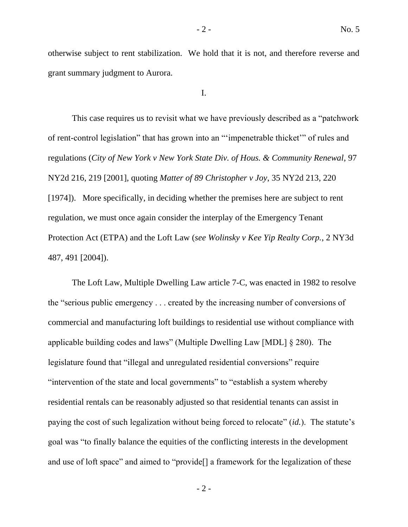otherwise subject to rent stabilization. We hold that it is not, and therefore reverse and grant summary judgment to Aurora.

I.

This case requires us to revisit what we have previously described as a "patchwork of rent-control legislation" that has grown into an "'impenetrable thicket'" of rules and regulations (*City of New York v New York State Div. of Hous. & Community Renewal*, 97 NY2d 216, 219 [2001], quoting *Matter of 89 Christopher v Joy*, 35 NY2d 213, 220 [1974]). More specifically, in deciding whether the premises here are subject to rent regulation, we must once again consider the interplay of the Emergency Tenant Protection Act (ETPA) and the Loft Law (*see Wolinsky v Kee Yip Realty Corp.*, 2 NY3d 487, 491 [2004]).

The Loft Law, Multiple Dwelling Law article 7-C, was enacted in 1982 to resolve the "serious public emergency . . . created by the increasing number of conversions of commercial and manufacturing loft buildings to residential use without compliance with applicable building codes and laws" (Multiple Dwelling Law [MDL] § 280). The legislature found that "illegal and unregulated residential conversions" require "intervention of the state and local governments" to "establish a system whereby residential rentals can be reasonably adjusted so that residential tenants can assist in paying the cost of such legalization without being forced to relocate" (*id.*). The statute's goal was "to finally balance the equities of the conflicting interests in the development and use of loft space" and aimed to "provide[] a framework for the legalization of these

 $-2 -$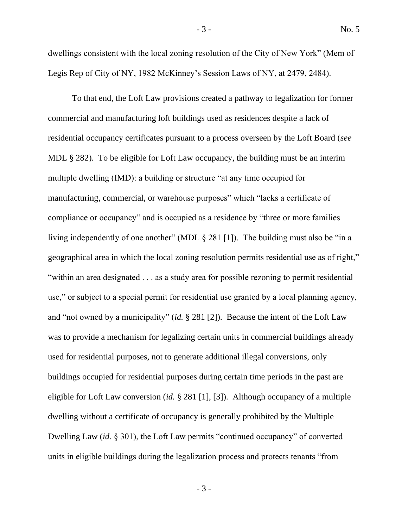dwellings consistent with the local zoning resolution of the City of New York" (Mem of Legis Rep of City of NY, 1982 McKinney's Session Laws of NY, at 2479, 2484).

To that end, the Loft Law provisions created a pathway to legalization for former commercial and manufacturing loft buildings used as residences despite a lack of residential occupancy certificates pursuant to a process overseen by the Loft Board (*see* MDL § 282). To be eligible for Loft Law occupancy, the building must be an interim multiple dwelling (IMD): a building or structure "at any time occupied for manufacturing, commercial, or warehouse purposes" which "lacks a certificate of compliance or occupancy" and is occupied as a residence by "three or more families living independently of one another" (MDL § 281 [1]). The building must also be "in a geographical area in which the local zoning resolution permits residential use as of right," "within an area designated . . . as a study area for possible rezoning to permit residential use," or subject to a special permit for residential use granted by a local planning agency, and "not owned by a municipality" (*id.* § 281 [2]). Because the intent of the Loft Law was to provide a mechanism for legalizing certain units in commercial buildings already used for residential purposes, not to generate additional illegal conversions, only buildings occupied for residential purposes during certain time periods in the past are eligible for Loft Law conversion (*id.* § 281 [1], [3]). Although occupancy of a multiple dwelling without a certificate of occupancy is generally prohibited by the Multiple Dwelling Law (*id.* § 301), the Loft Law permits "continued occupancy" of converted units in eligible buildings during the legalization process and protects tenants "from

- 3 -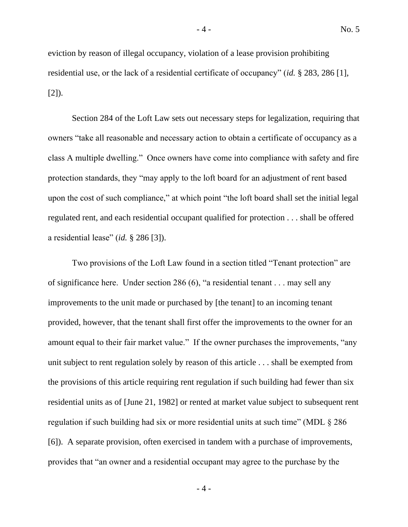eviction by reason of illegal occupancy, violation of a lease provision prohibiting residential use, or the lack of a residential certificate of occupancy" (*id.* § 283, 286 [1], [2]).

Section 284 of the Loft Law sets out necessary steps for legalization, requiring that owners "take all reasonable and necessary action to obtain a certificate of occupancy as a class A multiple dwelling." Once owners have come into compliance with safety and fire protection standards, they "may apply to the loft board for an adjustment of rent based upon the cost of such compliance," at which point "the loft board shall set the initial legal regulated rent, and each residential occupant qualified for protection . . . shall be offered a residential lease" (*id.* § 286 [3]).

Two provisions of the Loft Law found in a section titled "Tenant protection" are of significance here. Under section 286 (6), "a residential tenant . . . may sell any improvements to the unit made or purchased by [the tenant] to an incoming tenant provided, however, that the tenant shall first offer the improvements to the owner for an amount equal to their fair market value." If the owner purchases the improvements, "any unit subject to rent regulation solely by reason of this article . . . shall be exempted from the provisions of this article requiring rent regulation if such building had fewer than six residential units as of [June 21, 1982] or rented at market value subject to subsequent rent regulation if such building had six or more residential units at such time" (MDL § 286 [6]). A separate provision, often exercised in tandem with a purchase of improvements, provides that "an owner and a residential occupant may agree to the purchase by the

- 4 -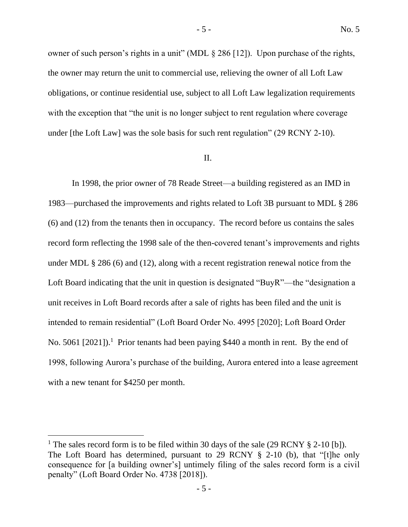owner of such person's rights in a unit" (MDL § 286 [12]). Upon purchase of the rights, the owner may return the unit to commercial use, relieving the owner of all Loft Law obligations, or continue residential use, subject to all Loft Law legalization requirements with the exception that "the unit is no longer subject to rent regulation where coverage under [the Loft Law] was the sole basis for such rent regulation" (29 RCNY 2-10).

#### II.

In 1998, the prior owner of 78 Reade Street—a building registered as an IMD in 1983—purchased the improvements and rights related to Loft 3B pursuant to MDL § 286 (6) and (12) from the tenants then in occupancy. The record before us contains the sales record form reflecting the 1998 sale of the then-covered tenant's improvements and rights under MDL § 286 (6) and (12), along with a recent registration renewal notice from the Loft Board indicating that the unit in question is designated "BuyR"—the "designation a unit receives in Loft Board records after a sale of rights has been filed and the unit is intended to remain residential" (Loft Board Order No. 4995 [2020]; Loft Board Order No. 5061 [2021]).<sup>1</sup> Prior tenants had been paying \$440 a month in rent. By the end of 1998, following Aurora's purchase of the building, Aurora entered into a lease agreement with a new tenant for \$4250 per month.

<sup>&</sup>lt;sup>1</sup> The sales record form is to be filed within 30 days of the sale (29 RCNY  $\S$  2-10 [b]). The Loft Board has determined, pursuant to 29 RCNY § 2-10 (b), that "[t]he only consequence for [a building owner's] untimely filing of the sales record form is a civil penalty" (Loft Board Order No. 4738 [2018]).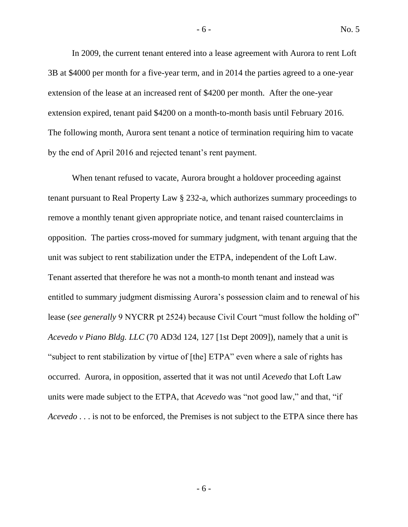In 2009, the current tenant entered into a lease agreement with Aurora to rent Loft 3B at \$4000 per month for a five-year term, and in 2014 the parties agreed to a one-year extension of the lease at an increased rent of \$4200 per month. After the one-year extension expired, tenant paid \$4200 on a month-to-month basis until February 2016. The following month, Aurora sent tenant a notice of termination requiring him to vacate by the end of April 2016 and rejected tenant's rent payment.

When tenant refused to vacate, Aurora brought a holdover proceeding against tenant pursuant to Real Property Law § 232-a, which authorizes summary proceedings to remove a monthly tenant given appropriate notice, and tenant raised counterclaims in opposition. The parties cross-moved for summary judgment, with tenant arguing that the unit was subject to rent stabilization under the ETPA, independent of the Loft Law. Tenant asserted that therefore he was not a month-to month tenant and instead was entitled to summary judgment dismissing Aurora's possession claim and to renewal of his lease (*see generally* 9 NYCRR pt 2524) because Civil Court "must follow the holding of" *Acevedo v Piano Bldg. LLC* (70 AD3d 124, 127 [1st Dept 2009]), namely that a unit is "subject to rent stabilization by virtue of [the] ETPA" even where a sale of rights has occurred. Aurora, in opposition, asserted that it was not until *Acevedo* that Loft Law units were made subject to the ETPA, that *Acevedo* was "not good law," and that, "if *Acevedo* . . . is not to be enforced, the Premises is not subject to the ETPA since there has

- 6 -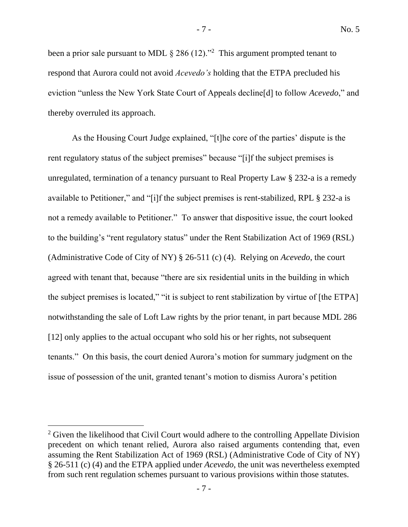been a prior sale pursuant to MDL  $\S 286 (12).$ <sup>2</sup> This argument prompted tenant to respond that Aurora could not avoid *Acevedo's* holding that the ETPA precluded his eviction "unless the New York State Court of Appeals decline[d] to follow *Acevedo*," and thereby overruled its approach.

As the Housing Court Judge explained, "[t]he core of the parties' dispute is the rent regulatory status of the subject premises" because "[i]f the subject premises is unregulated, termination of a tenancy pursuant to Real Property Law § 232-a is a remedy available to Petitioner," and "[i]f the subject premises is rent-stabilized, RPL § 232-a is not a remedy available to Petitioner." To answer that dispositive issue, the court looked to the building's "rent regulatory status" under the Rent Stabilization Act of 1969 (RSL) (Administrative Code of City of NY) § 26-511 (c) (4). Relying on *Acevedo*, the court agreed with tenant that, because "there are six residential units in the building in which the subject premises is located," "it is subject to rent stabilization by virtue of [the ETPA] notwithstanding the sale of Loft Law rights by the prior tenant, in part because MDL 286 [12] only applies to the actual occupant who sold his or her rights, not subsequent tenants." On this basis, the court denied Aurora's motion for summary judgment on the issue of possession of the unit, granted tenant's motion to dismiss Aurora's petition

<sup>&</sup>lt;sup>2</sup> Given the likelihood that Civil Court would adhere to the controlling Appellate Division precedent on which tenant relied, Aurora also raised arguments contending that, even assuming the Rent Stabilization Act of 1969 (RSL) (Administrative Code of City of NY) § 26-511 (c) (4) and the ETPA applied under *Acevedo*, the unit was nevertheless exempted from such rent regulation schemes pursuant to various provisions within those statutes.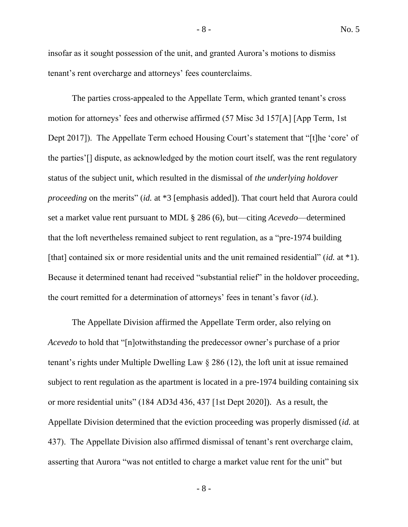insofar as it sought possession of the unit, and granted Aurora's motions to dismiss tenant's rent overcharge and attorneys' fees counterclaims.

The parties cross-appealed to the Appellate Term, which granted tenant's cross motion for attorneys' fees and otherwise affirmed (57 Misc 3d 157[A] [App Term, 1st Dept 2017]). The Appellate Term echoed Housing Court's statement that "[t]he 'core' of the parties'[] dispute, as acknowledged by the motion court itself, was the rent regulatory status of the subject unit, which resulted in the dismissal of *the underlying holdover proceeding* on the merits" *(id.* at \*3 [emphasis added]). That court held that Aurora could set a market value rent pursuant to MDL § 286 (6), but—citing *Acevedo*—determined that the loft nevertheless remained subject to rent regulation, as a "pre-1974 building [that] contained six or more residential units and the unit remained residential" (*id.* at \*1). Because it determined tenant had received "substantial relief" in the holdover proceeding, the court remitted for a determination of attorneys' fees in tenant's favor (*id.*).

The Appellate Division affirmed the Appellate Term order, also relying on *Acevedo* to hold that "[n]otwithstanding the predecessor owner's purchase of a prior tenant's rights under Multiple Dwelling Law § 286 (12), the loft unit at issue remained subject to rent regulation as the apartment is located in a pre-1974 building containing six or more residential units" (184 AD3d 436, 437 [1st Dept 2020]). As a result, the Appellate Division determined that the eviction proceeding was properly dismissed (*id.* at 437). The Appellate Division also affirmed dismissal of tenant's rent overcharge claim, asserting that Aurora "was not entitled to charge a market value rent for the unit" but

- 8 -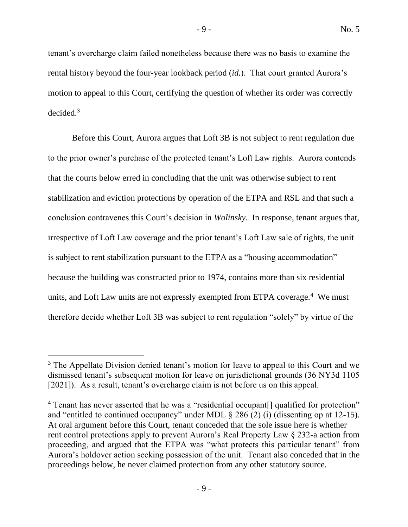tenant's overcharge claim failed nonetheless because there was no basis to examine the rental history beyond the four-year lookback period (*id.*). That court granted Aurora's motion to appeal to this Court, certifying the question of whether its order was correctly decided.<sup>3</sup>

Before this Court, Aurora argues that Loft 3B is not subject to rent regulation due to the prior owner's purchase of the protected tenant's Loft Law rights. Aurora contends that the courts below erred in concluding that the unit was otherwise subject to rent stabilization and eviction protections by operation of the ETPA and RSL and that such a conclusion contravenes this Court's decision in *Wolinsky*. In response, tenant argues that, irrespective of Loft Law coverage and the prior tenant's Loft Law sale of rights, the unit is subject to rent stabilization pursuant to the ETPA as a "housing accommodation" because the building was constructed prior to 1974, contains more than six residential units, and Loft Law units are not expressly exempted from ETPA coverage.<sup>4</sup> We must therefore decide whether Loft 3B was subject to rent regulation "solely" by virtue of the

<sup>&</sup>lt;sup>3</sup> The Appellate Division denied tenant's motion for leave to appeal to this Court and we dismissed tenant's subsequent motion for leave on jurisdictional grounds (36 NY3d 1105 [2021]). As a result, tenant's overcharge claim is not before us on this appeal.

<sup>&</sup>lt;sup>4</sup> Tenant has never asserted that he was a "residential occupant<sup>[]</sup> qualified for protection" and "entitled to continued occupancy" under MDL § 286 (2) (i) (dissenting op at 12-15). At oral argument before this Court, tenant conceded that the sole issue here is whether rent control protections apply to prevent Aurora's Real Property Law § 232-a action from proceeding, and argued that the ETPA was "what protects this particular tenant" from Aurora's holdover action seeking possession of the unit. Tenant also conceded that in the proceedings below, he never claimed protection from any other statutory source.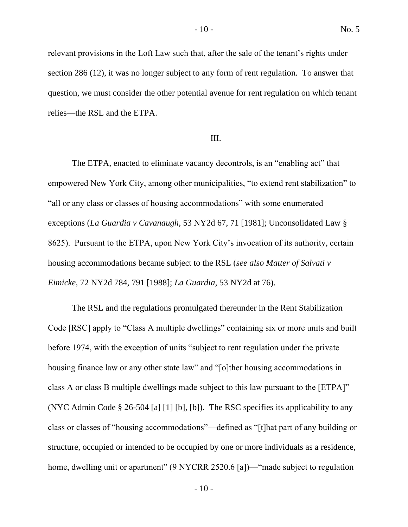relevant provisions in the Loft Law such that, after the sale of the tenant's rights under section 286 (12), it was no longer subject to any form of rent regulation. To answer that question, we must consider the other potential avenue for rent regulation on which tenant relies—the RSL and the ETPA.

#### III.

The ETPA, enacted to eliminate vacancy decontrols, is an "enabling act" that empowered New York City, among other municipalities, "to extend rent stabilization" to "all or any class or classes of housing accommodations" with some enumerated exceptions (*La Guardia v Cavanaugh*, 53 NY2d 67, 71 [1981]; Unconsolidated Law § 8625). Pursuant to the ETPA, upon New York City's invocation of its authority, certain housing accommodations became subject to the RSL (*see also Matter of Salvati v Eimicke*, 72 NY2d 784, 791 [1988]; *La Guardia*, 53 NY2d at 76).

The RSL and the regulations promulgated thereunder in the Rent Stabilization Code [RSC] apply to "Class A multiple dwellings" containing six or more units and built before 1974, with the exception of units "subject to rent regulation under the private housing finance law or any other state law" and "[o]ther housing accommodations in class A or class B multiple dwellings made subject to this law pursuant to the [ETPA]" (NYC Admin Code § 26-504 [a] [1] [b], [b]). The RSC specifies its applicability to any class or classes of "housing accommodations"—defined as "[t]hat part of any building or structure, occupied or intended to be occupied by one or more individuals as a residence, home, dwelling unit or apartment" (9 NYCRR 2520.6 [a])— "made subject to regulation

 $-10-$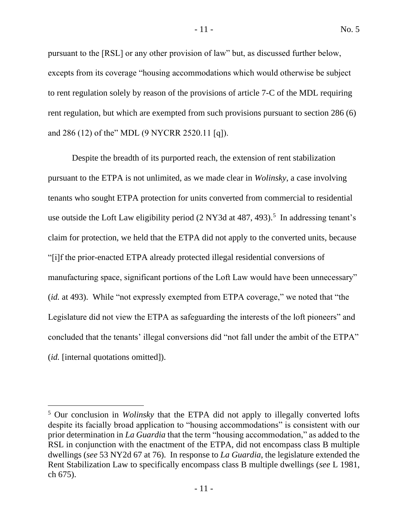pursuant to the [RSL] or any other provision of law" but, as discussed further below, excepts from its coverage "housing accommodations which would otherwise be subject to rent regulation solely by reason of the provisions of article 7-C of the MDL requiring rent regulation, but which are exempted from such provisions pursuant to section 286 (6) and 286 (12) of the" MDL (9 NYCRR 2520.11 [q]).

Despite the breadth of its purported reach, the extension of rent stabilization pursuant to the ETPA is not unlimited, as we made clear in *Wolinsky*, a case involving tenants who sought ETPA protection for units converted from commercial to residential use outside the Loft Law eligibility period  $(2 NY3d$  at 487, 493).<sup>5</sup> In addressing tenant's claim for protection, we held that the ETPA did not apply to the converted units, because "[i]f the prior-enacted ETPA already protected illegal residential conversions of manufacturing space, significant portions of the Loft Law would have been unnecessary" (*id.* at 493). While "not expressly exempted from ETPA coverage," we noted that "the Legislature did not view the ETPA as safeguarding the interests of the loft pioneers" and concluded that the tenants' illegal conversions did "not fall under the ambit of the ETPA" (*id.* [internal quotations omitted]).

<sup>5</sup> Our conclusion in *Wolinsky* that the ETPA did not apply to illegally converted lofts despite its facially broad application to "housing accommodations" is consistent with our prior determination in *La Guardia* that the term "housing accommodation," as added to the RSL in conjunction with the enactment of the ETPA, did not encompass class B multiple dwellings (*see* 53 NY2d 67 at 76). In response to *La Guardia*, the legislature extended the Rent Stabilization Law to specifically encompass class B multiple dwellings (*see* L 1981, ch 675).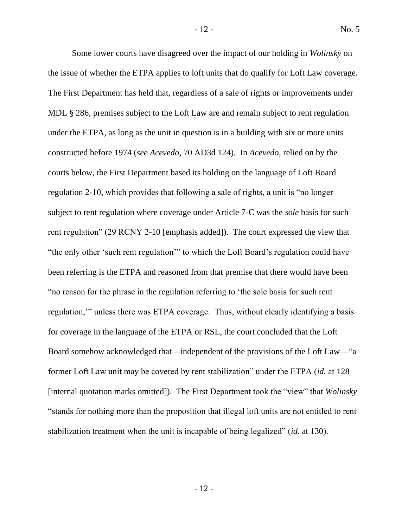Some lower courts have disagreed over the impact of our holding in *Wolinsky* on the issue of whether the ETPA applies to loft units that do qualify for Loft Law coverage. The First Department has held that, regardless of a sale of rights or improvements under MDL § 286, premises subject to the Loft Law are and remain subject to rent regulation under the ETPA, as long as the unit in question is in a building with six or more units constructed before 1974 (*see Acevedo*, 70 AD3d 124). In *Acevedo*, relied on by the courts below, the First Department based its holding on the language of Loft Board regulation 2-10, which provides that following a sale of rights, a unit is "no longer subject to rent regulation where coverage under Article 7-C was the *sole* basis for such rent regulation" (29 RCNY 2-10 [emphasis added]). The court expressed the view that "the only other 'such rent regulation'" to which the Loft Board's regulation could have been referring is the ETPA and reasoned from that premise that there would have been "no reason for the phrase in the regulation referring to 'the sole basis for such rent regulation,'" unless there was ETPA coverage. Thus, without clearly identifying a basis for coverage in the language of the ETPA or RSL, the court concluded that the Loft Board somehow acknowledged that—independent of the provisions of the Loft Law—"a former Loft Law unit may be covered by rent stabilization" under the ETPA (*id.* at 128 [internal quotation marks omitted]). The First Department took the "view" that *Wolinsky* "stands for nothing more than the proposition that illegal loft units are not entitled to rent stabilization treatment when the unit is incapable of being legalized" (*id.* at 130).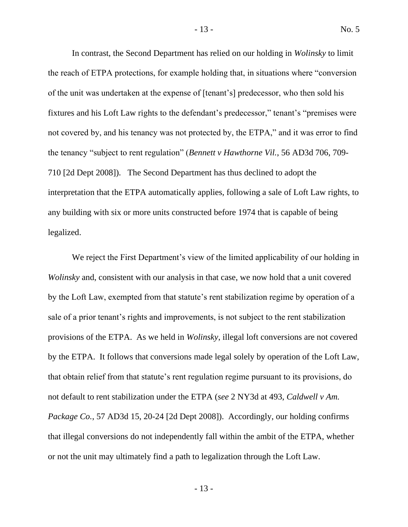In contrast, the Second Department has relied on our holding in *Wolinsky* to limit the reach of ETPA protections, for example holding that, in situations where "conversion of the unit was undertaken at the expense of [tenant's] predecessor, who then sold his fixtures and his Loft Law rights to the defendant's predecessor," tenant's "premises were not covered by, and his tenancy was not protected by, the ETPA," and it was error to find the tenancy "subject to rent regulation" (*Bennett v Hawthorne Vil.*, 56 AD3d 706, 709- 710 [2d Dept 2008]). The Second Department has thus declined to adopt the interpretation that the ETPA automatically applies, following a sale of Loft Law rights, to any building with six or more units constructed before 1974 that is capable of being legalized.

We reject the First Department's view of the limited applicability of our holding in *Wolinsky* and, consistent with our analysis in that case, we now hold that a unit covered by the Loft Law, exempted from that statute's rent stabilization regime by operation of a sale of a prior tenant's rights and improvements, is not subject to the rent stabilization provisions of the ETPA. As we held in *Wolinsky*, illegal loft conversions are not covered by the ETPA. It follows that conversions made legal solely by operation of the Loft Law, that obtain relief from that statute's rent regulation regime pursuant to its provisions, do not default to rent stabilization under the ETPA (*see* 2 NY3d at 493, *Caldwell v Am. Package Co.*, 57 AD3d 15, 20-24 [2d Dept 2008]). Accordingly, our holding confirms that illegal conversions do not independently fall within the ambit of the ETPA, whether or not the unit may ultimately find a path to legalization through the Loft Law.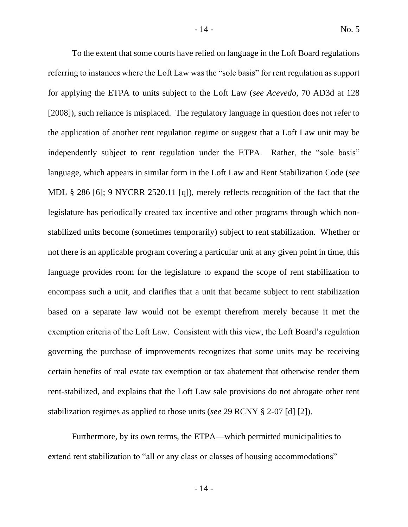To the extent that some courts have relied on language in the Loft Board regulations referring to instances where the Loft Law was the "sole basis" for rent regulation as support for applying the ETPA to units subject to the Loft Law (*see Acevedo*, 70 AD3d at 128 [2008]), such reliance is misplaced. The regulatory language in question does not refer to the application of another rent regulation regime or suggest that a Loft Law unit may be independently subject to rent regulation under the ETPA. Rather, the "sole basis" language, which appears in similar form in the Loft Law and Rent Stabilization Code (*see* MDL § 286 [6]; 9 NYCRR 2520.11 [q]), merely reflects recognition of the fact that the legislature has periodically created tax incentive and other programs through which nonstabilized units become (sometimes temporarily) subject to rent stabilization. Whether or not there is an applicable program covering a particular unit at any given point in time, this language provides room for the legislature to expand the scope of rent stabilization to encompass such a unit, and clarifies that a unit that became subject to rent stabilization based on a separate law would not be exempt therefrom merely because it met the exemption criteria of the Loft Law. Consistent with this view, the Loft Board's regulation governing the purchase of improvements recognizes that some units may be receiving certain benefits of real estate tax exemption or tax abatement that otherwise render them rent-stabilized, and explains that the Loft Law sale provisions do not abrogate other rent stabilization regimes as applied to those units (*see* 29 RCNY § 2-07 [d] [2]).

Furthermore, by its own terms, the ETPA—which permitted municipalities to extend rent stabilization to "all or any class or classes of housing accommodations"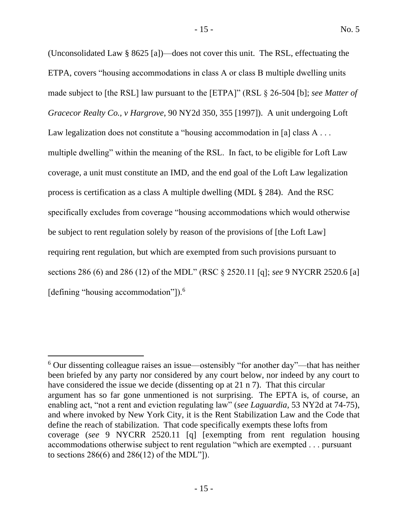(Unconsolidated Law § 8625 [a])—does not cover this unit. The RSL, effectuating the ETPA, covers "housing accommodations in class A or class B multiple dwelling units made subject to [the RSL] law pursuant to the [ETPA]" (RSL § 26-504 [b]; *see Matter of Gracecor Realty Co., v Hargrove*, 90 NY2d 350, 355 [1997]). A unit undergoing Loft Law legalization does not constitute a "housing accommodation in [a] class A . . . multiple dwelling" within the meaning of the RSL. In fact, to be eligible for Loft Law coverage, a unit must constitute an IMD, and the end goal of the Loft Law legalization process is certification as a class A multiple dwelling (MDL § 284). And the RSC specifically excludes from coverage "housing accommodations which would otherwise be subject to rent regulation solely by reason of the provisions of [the Loft Law] requiring rent regulation, but which are exempted from such provisions pursuant to sections 286 (6) and 286 (12) of the MDL" (RSC § 2520.11 [q]; *see* 9 NYCRR 2520.6 [a] [defining "housing accommodation"]).<sup>6</sup>

<sup>6</sup> Our dissenting colleague raises an issue—ostensibly "for another day"—that has neither been briefed by any party nor considered by any court below, nor indeed by any court to have considered the issue we decide (dissenting op at 21 n 7). That this circular argument has so far gone unmentioned is not surprising. The EPTA is, of course, an enabling act, "not a rent and eviction regulating law" (*see Laguardia*, 53 NY2d at 74-75), and where invoked by New York City, it is the Rent Stabilization Law and the Code that define the reach of stabilization. That code specifically exempts these lofts from coverage (*see* 9 NYCRR 2520.11 [q] [exempting from rent regulation housing accommodations otherwise subject to rent regulation "which are exempted . . . pursuant to sections 286(6) and 286(12) of the MDL"]).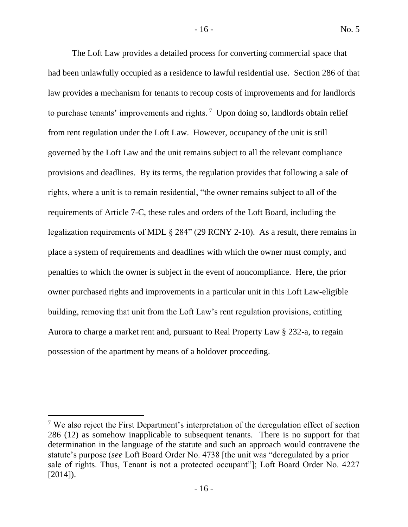The Loft Law provides a detailed process for converting commercial space that had been unlawfully occupied as a residence to lawful residential use. Section 286 of that law provides a mechanism for tenants to recoup costs of improvements and for landlords to purchase tenants' improvements and rights.<sup>7</sup> Upon doing so, landlords obtain relief from rent regulation under the Loft Law. However, occupancy of the unit is still governed by the Loft Law and the unit remains subject to all the relevant compliance provisions and deadlines. By its terms, the regulation provides that following a sale of rights, where a unit is to remain residential, "the owner remains subject to all of the requirements of Article 7-C, these rules and orders of the Loft Board, including the legalization requirements of MDL § 284" (29 RCNY 2-10). As a result, there remains in place a system of requirements and deadlines with which the owner must comply, and penalties to which the owner is subject in the event of noncompliance. Here, the prior owner purchased rights and improvements in a particular unit in this Loft Law-eligible building, removing that unit from the Loft Law's rent regulation provisions, entitling Aurora to charge a market rent and, pursuant to Real Property Law § 232-a, to regain possession of the apartment by means of a holdover proceeding.

 $<sup>7</sup>$  We also reject the First Department's interpretation of the deregulation effect of section</sup> 286 (12) as somehow inapplicable to subsequent tenants. There is no support for that determination in the language of the statute and such an approach would contravene the statute's purpose (*see* Loft Board Order No. 4738 [the unit was "deregulated by a prior sale of rights. Thus, Tenant is not a protected occupant"]; Loft Board Order No. 4227  $[2014]$ .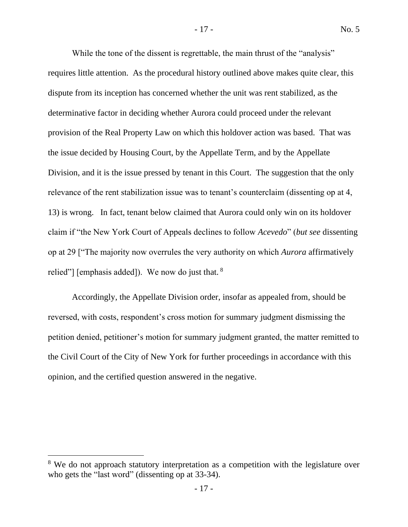While the tone of the dissent is regrettable, the main thrust of the "analysis" requires little attention. As the procedural history outlined above makes quite clear, this dispute from its inception has concerned whether the unit was rent stabilized, as the determinative factor in deciding whether Aurora could proceed under the relevant provision of the Real Property Law on which this holdover action was based. That was the issue decided by Housing Court, by the Appellate Term, and by the Appellate Division, and it is the issue pressed by tenant in this Court. The suggestion that the only relevance of the rent stabilization issue was to tenant's counterclaim (dissenting op at 4, 13) is wrong. In fact, tenant below claimed that Aurora could only win on its holdover claim if "the New York Court of Appeals declines to follow *Acevedo*" (*but see* dissenting op at 29 ["The majority now overrules the very authority on which *Aurora* affirmatively relied"] [emphasis added]). We now do just that. <sup>8</sup>

Accordingly, the Appellate Division order, insofar as appealed from, should be reversed, with costs, respondent's cross motion for summary judgment dismissing the petition denied, petitioner's motion for summary judgment granted, the matter remitted to the Civil Court of the City of New York for further proceedings in accordance with this opinion, and the certified question answered in the negative.

<sup>&</sup>lt;sup>8</sup> We do not approach statutory interpretation as a competition with the legislature over who gets the "last word" (dissenting op at 33-34).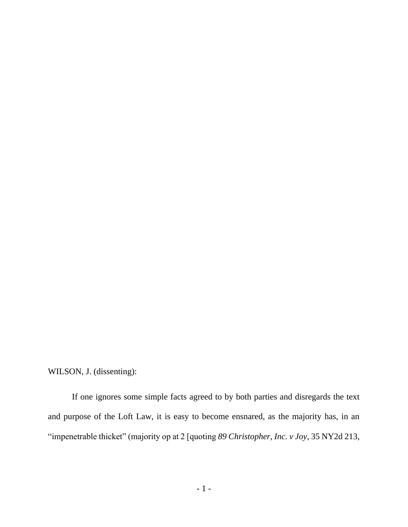WILSON, J. (dissenting):

If one ignores some simple facts agreed to by both parties and disregards the text and purpose of the Loft Law, it is easy to become ensnared, as the majority has, in an "impenetrable thicket" (majority op at 2 [quoting *89 Christopher, Inc. v Joy*, 35 NY2d 213,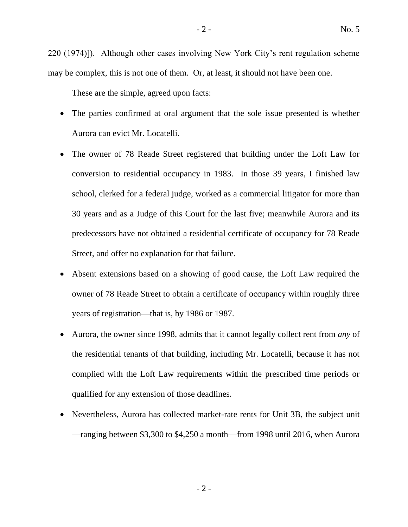220 (1974)]). Although other cases involving New York City's rent regulation scheme may be complex, this is not one of them. Or, at least, it should not have been one.

These are the simple, agreed upon facts:

- The parties confirmed at oral argument that the sole issue presented is whether Aurora can evict Mr. Locatelli.
- The owner of 78 Reade Street registered that building under the Loft Law for conversion to residential occupancy in 1983. In those 39 years, I finished law school, clerked for a federal judge, worked as a commercial litigator for more than 30 years and as a Judge of this Court for the last five; meanwhile Aurora and its predecessors have not obtained a residential certificate of occupancy for 78 Reade Street, and offer no explanation for that failure.
- Absent extensions based on a showing of good cause, the Loft Law required the owner of 78 Reade Street to obtain a certificate of occupancy within roughly three years of registration—that is, by 1986 or 1987.
- Aurora, the owner since 1998, admits that it cannot legally collect rent from *any* of the residential tenants of that building, including Mr. Locatelli, because it has not complied with the Loft Law requirements within the prescribed time periods or qualified for any extension of those deadlines.
- Nevertheless, Aurora has collected market-rate rents for Unit 3B, the subject unit —ranging between \$3,300 to \$4,250 a month—from 1998 until 2016, when Aurora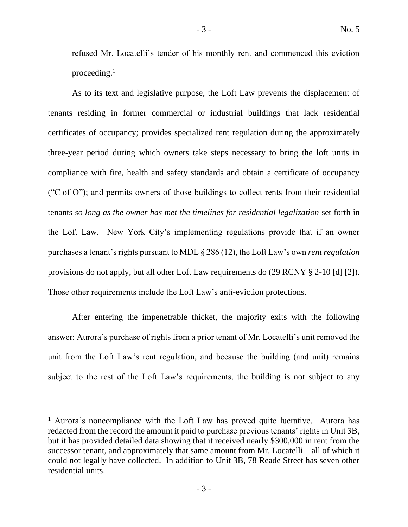refused Mr. Locatelli's tender of his monthly rent and commenced this eviction proceeding. $<sup>1</sup>$ </sup>

As to its text and legislative purpose, the Loft Law prevents the displacement of tenants residing in former commercial or industrial buildings that lack residential certificates of occupancy; provides specialized rent regulation during the approximately three-year period during which owners take steps necessary to bring the loft units in compliance with fire, health and safety standards and obtain a certificate of occupancy ("C of O"); and permits owners of those buildings to collect rents from their residential tenants *so long as the owner has met the timelines for residential legalization* set forth in the Loft Law. New York City's implementing regulations provide that if an owner purchases a tenant's rights pursuant to MDL § 286 (12), the Loft Law's own *rent regulation* provisions do not apply, but all other Loft Law requirements do (29 RCNY § 2-10 [d] [2]). Those other requirements include the Loft Law's anti-eviction protections.

After entering the impenetrable thicket, the majority exits with the following answer: Aurora's purchase of rights from a prior tenant of Mr. Locatelli's unit removed the unit from the Loft Law's rent regulation, and because the building (and unit) remains subject to the rest of the Loft Law's requirements, the building is not subject to any

<sup>&</sup>lt;sup>1</sup> Aurora's noncompliance with the Loft Law has proved quite lucrative. Aurora has redacted from the record the amount it paid to purchase previous tenants' rights in Unit 3B, but it has provided detailed data showing that it received nearly \$300,000 in rent from the successor tenant, and approximately that same amount from Mr. Locatelli—all of which it could not legally have collected. In addition to Unit 3B, 78 Reade Street has seven other residential units.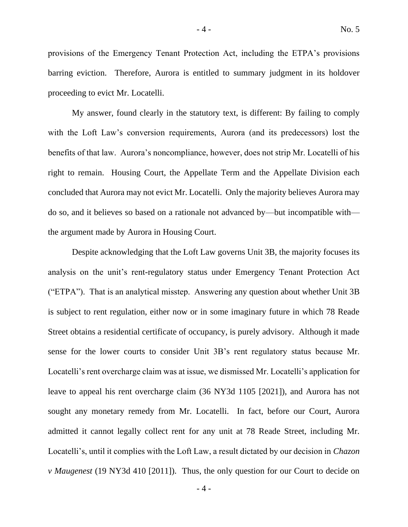provisions of the Emergency Tenant Protection Act, including the ETPA's provisions barring eviction. Therefore, Aurora is entitled to summary judgment in its holdover proceeding to evict Mr. Locatelli.

My answer, found clearly in the statutory text, is different: By failing to comply with the Loft Law's conversion requirements, Aurora (and its predecessors) lost the benefits of that law. Aurora's noncompliance, however, does not strip Mr. Locatelli of his right to remain. Housing Court, the Appellate Term and the Appellate Division each concluded that Aurora may not evict Mr. Locatelli. Only the majority believes Aurora may do so, and it believes so based on a rationale not advanced by—but incompatible with the argument made by Aurora in Housing Court.

Despite acknowledging that the Loft Law governs Unit 3B, the majority focuses its analysis on the unit's rent-regulatory status under Emergency Tenant Protection Act ("ETPA"). That is an analytical misstep. Answering any question about whether Unit 3B is subject to rent regulation, either now or in some imaginary future in which 78 Reade Street obtains a residential certificate of occupancy, is purely advisory. Although it made sense for the lower courts to consider Unit 3B's rent regulatory status because Mr. Locatelli's rent overcharge claim was at issue, we dismissed Mr. Locatelli's application for leave to appeal his rent overcharge claim (36 NY3d 1105 [2021]), and Aurora has not sought any monetary remedy from Mr. Locatelli. In fact, before our Court, Aurora admitted it cannot legally collect rent for any unit at 78 Reade Street, including Mr. Locatelli's, until it complies with the Loft Law, a result dictated by our decision in *Chazon v Maugenest* (19 NY3d 410 [2011]). Thus, the only question for our Court to decide on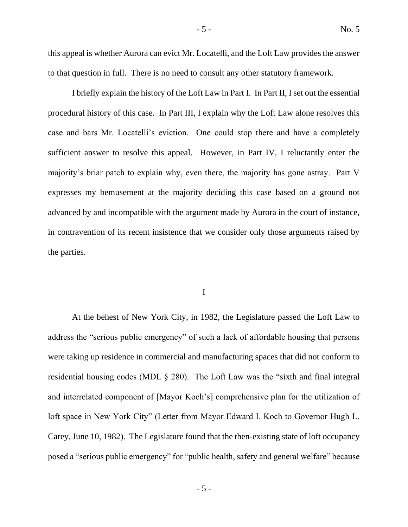this appeal is whether Aurora can evict Mr. Locatelli, and the Loft Law provides the answer to that question in full. There is no need to consult any other statutory framework.

I briefly explain the history of the Loft Law in Part I. In Part II, I set out the essential procedural history of this case. In Part III, I explain why the Loft Law alone resolves this case and bars Mr. Locatelli's eviction. One could stop there and have a completely sufficient answer to resolve this appeal. However, in Part IV, I reluctantly enter the majority's briar patch to explain why, even there, the majority has gone astray. Part V expresses my bemusement at the majority deciding this case based on a ground not advanced by and incompatible with the argument made by Aurora in the court of instance, in contravention of its recent insistence that we consider only those arguments raised by the parties.

I

At the behest of New York City, in 1982, the Legislature passed the Loft Law to address the "serious public emergency" of such a lack of affordable housing that persons were taking up residence in commercial and manufacturing spaces that did not conform to residential housing codes (MDL § 280). The Loft Law was the "sixth and final integral and interrelated component of [Mayor Koch's] comprehensive plan for the utilization of loft space in New York City" (Letter from Mayor Edward I. Koch to Governor Hugh L. Carey, June 10, 1982). The Legislature found that the then-existing state of loft occupancy posed a "serious public emergency" for "public health, safety and general welfare" because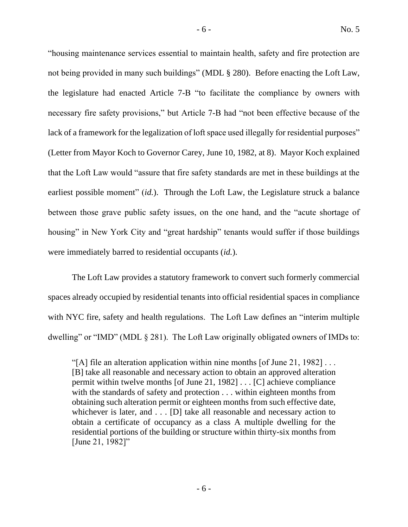"housing maintenance services essential to maintain health, safety and fire protection are not being provided in many such buildings" (MDL § 280). Before enacting the Loft Law, the legislature had enacted Article 7-B "to facilitate the compliance by owners with necessary fire safety provisions," but Article 7-B had "not been effective because of the lack of a framework for the legalization of loft space used illegally for residential purposes" (Letter from Mayor Koch to Governor Carey, June 10, 1982, at 8). Mayor Koch explained that the Loft Law would "assure that fire safety standards are met in these buildings at the earliest possible moment" *(id.)*. Through the Loft Law, the Legislature struck a balance between those grave public safety issues, on the one hand, and the "acute shortage of housing" in New York City and "great hardship" tenants would suffer if those buildings were immediately barred to residential occupants (*id.*).

The Loft Law provides a statutory framework to convert such formerly commercial spaces already occupied by residential tenants into official residential spaces in compliance with NYC fire, safety and health regulations. The Loft Law defines an "interim multiple dwelling" or "IMD" (MDL § 281). The Loft Law originally obligated owners of IMDs to:

<sup>&</sup>quot;[A] file an alteration application within nine months [of June 21, 1982]  $\dots$ [B] take all reasonable and necessary action to obtain an approved alteration permit within twelve months [of June 21, 1982] . . . [C] achieve compliance with the standards of safety and protection . . . within eighteen months from obtaining such alteration permit or eighteen months from such effective date, whichever is later, and . . . [D] take all reasonable and necessary action to obtain a certificate of occupancy as a class A multiple dwelling for the residential portions of the building or structure within thirty-six months from [June 21, 1982]"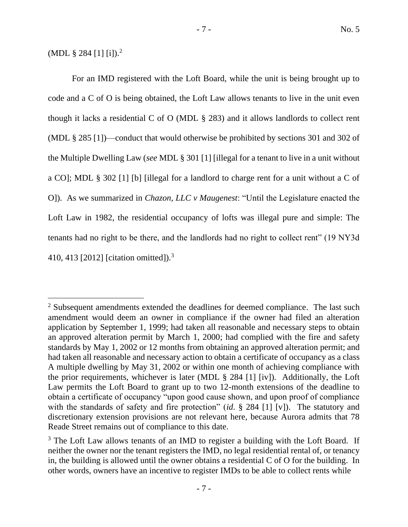(MDL  $\S 284$  [1] [i]).<sup>2</sup>

For an IMD registered with the Loft Board, while the unit is being brought up to code and a C of O is being obtained, the Loft Law allows tenants to live in the unit even though it lacks a residential C of O (MDL  $\S$  283) and it allows landlords to collect rent (MDL § 285 [1])—conduct that would otherwise be prohibited by sections 301 and 302 of the Multiple Dwelling Law (*see* MDL § 301 [1] [illegal for a tenant to live in a unit without a CO]; MDL § 302 [1] [b] [illegal for a landlord to charge rent for a unit without a C of O]). As we summarized in *Chazon, LLC v Maugenest*: "Until the Legislature enacted the Loft Law in 1982, the residential occupancy of lofts was illegal pure and simple: The tenants had no right to be there, and the landlords had no right to collect rent" (19 NY3d 410, 413 [2012] [citation omitted]).<sup>3</sup>

<sup>&</sup>lt;sup>2</sup> Subsequent amendments extended the deadlines for deemed compliance. The last such amendment would deem an owner in compliance if the owner had filed an alteration application by September 1, 1999; had taken all reasonable and necessary steps to obtain an approved alteration permit by March 1, 2000; had complied with the fire and safety standards by May 1, 2002 or 12 months from obtaining an approved alteration permit; and had taken all reasonable and necessary action to obtain a certificate of occupancy as a class A multiple dwelling by May 31, 2002 or within one month of achieving compliance with the prior requirements, whichever is later (MDL § 284 [1] [iv]). Additionally, the Loft Law permits the Loft Board to grant up to two 12-month extensions of the deadline to obtain a certificate of occupancy "upon good cause shown, and upon proof of compliance with the standards of safety and fire protection" (*id*. § 284 [1] [v]). The statutory and discretionary extension provisions are not relevant here, because Aurora admits that 78 Reade Street remains out of compliance to this date.

<sup>&</sup>lt;sup>3</sup> The Loft Law allows tenants of an IMD to register a building with the Loft Board. If neither the owner nor the tenant registers the IMD, no legal residential rental of, or tenancy in, the building is allowed until the owner obtains a residential C of O for the building. In other words, owners have an incentive to register IMDs to be able to collect rents while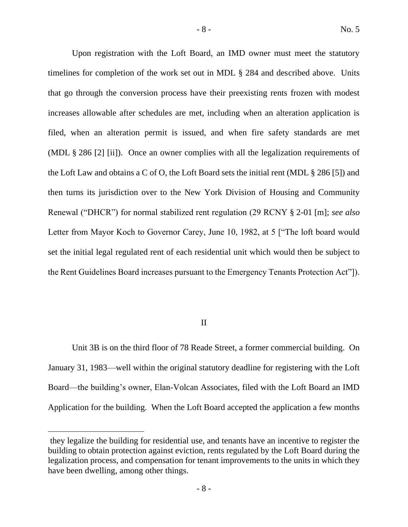Upon registration with the Loft Board, an IMD owner must meet the statutory timelines for completion of the work set out in MDL § 284 and described above. Units that go through the conversion process have their preexisting rents frozen with modest increases allowable after schedules are met, including when an alteration application is filed, when an alteration permit is issued, and when fire safety standards are met (MDL § 286 [2] [ii]). Once an owner complies with all the legalization requirements of the Loft Law and obtains a C of O, the Loft Board sets the initial rent (MDL § 286 [5]) and then turns its jurisdiction over to the New York Division of Housing and Community Renewal ("DHCR") for normal stabilized rent regulation (29 RCNY § 2-01 [m]; *see also* Letter from Mayor Koch to Governor Carey, June 10, 1982, at 5 ["The loft board would set the initial legal regulated rent of each residential unit which would then be subject to the Rent Guidelines Board increases pursuant to the Emergency Tenants Protection Act"]).

# II

Unit 3B is on the third floor of 78 Reade Street, a former commercial building. On January 31, 1983—well within the original statutory deadline for registering with the Loft Board—the building's owner, Elan-Volcan Associates, filed with the Loft Board an IMD Application for the building. When the Loft Board accepted the application a few months

they legalize the building for residential use, and tenants have an incentive to register the building to obtain protection against eviction, rents regulated by the Loft Board during the legalization process, and compensation for tenant improvements to the units in which they have been dwelling, among other things.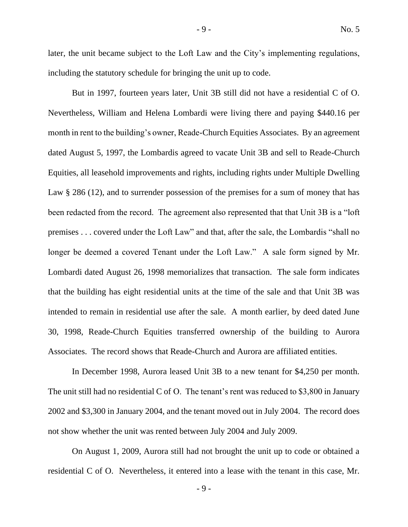later, the unit became subject to the Loft Law and the City's implementing regulations, including the statutory schedule for bringing the unit up to code.

But in 1997, fourteen years later, Unit 3B still did not have a residential C of O. Nevertheless, William and Helena Lombardi were living there and paying \$440.16 per month in rent to the building's owner, Reade-Church Equities Associates. By an agreement dated August 5, 1997, the Lombardis agreed to vacate Unit 3B and sell to Reade-Church Equities, all leasehold improvements and rights, including rights under Multiple Dwelling Law § 286 (12), and to surrender possession of the premises for a sum of money that has been redacted from the record. The agreement also represented that that Unit 3B is a "loft premises . . . covered under the Loft Law" and that, after the sale, the Lombardis "shall no longer be deemed a covered Tenant under the Loft Law." A sale form signed by Mr. Lombardi dated August 26, 1998 memorializes that transaction. The sale form indicates that the building has eight residential units at the time of the sale and that Unit 3B was intended to remain in residential use after the sale. A month earlier, by deed dated June 30, 1998, Reade-Church Equities transferred ownership of the building to Aurora Associates. The record shows that Reade-Church and Aurora are affiliated entities.

In December 1998, Aurora leased Unit 3B to a new tenant for \$4,250 per month. The unit still had no residential C of O. The tenant's rent was reduced to \$3,800 in January 2002 and \$3,300 in January 2004, and the tenant moved out in July 2004. The record does not show whether the unit was rented between July 2004 and July 2009.

On August 1, 2009, Aurora still had not brought the unit up to code or obtained a residential C of O. Nevertheless, it entered into a lease with the tenant in this case, Mr.

- 9 -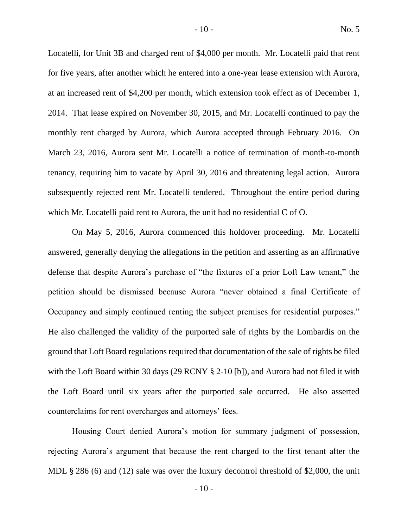Locatelli, for Unit 3B and charged rent of \$4,000 per month. Mr. Locatelli paid that rent for five years, after another which he entered into a one-year lease extension with Aurora, at an increased rent of \$4,200 per month, which extension took effect as of December 1, 2014. That lease expired on November 30, 2015, and Mr. Locatelli continued to pay the monthly rent charged by Aurora, which Aurora accepted through February 2016. On March 23, 2016, Aurora sent Mr. Locatelli a notice of termination of month-to-month tenancy, requiring him to vacate by April 30, 2016 and threatening legal action. Aurora subsequently rejected rent Mr. Locatelli tendered. Throughout the entire period during which Mr. Locatelli paid rent to Aurora, the unit had no residential C of O.

On May 5, 2016, Aurora commenced this holdover proceeding. Mr. Locatelli answered, generally denying the allegations in the petition and asserting as an affirmative defense that despite Aurora's purchase of "the fixtures of a prior Loft Law tenant," the petition should be dismissed because Aurora "never obtained a final Certificate of Occupancy and simply continued renting the subject premises for residential purposes." He also challenged the validity of the purported sale of rights by the Lombardis on the ground that Loft Board regulations required that documentation of the sale of rights be filed with the Loft Board within 30 days (29 RCNY § 2-10 [b]), and Aurora had not filed it with the Loft Board until six years after the purported sale occurred. He also asserted counterclaims for rent overcharges and attorneys' fees.

Housing Court denied Aurora's motion for summary judgment of possession, rejecting Aurora's argument that because the rent charged to the first tenant after the MDL § 286 (6) and (12) sale was over the luxury decontrol threshold of \$2,000, the unit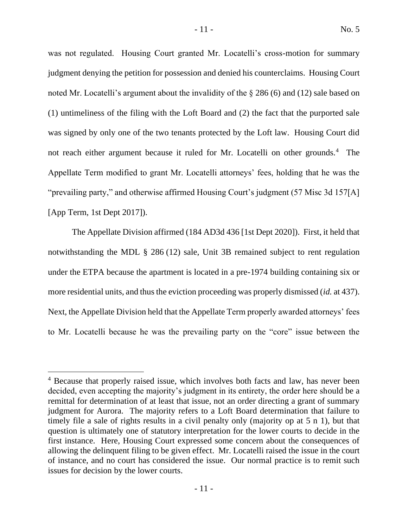was not regulated. Housing Court granted Mr. Locatelli's cross-motion for summary judgment denying the petition for possession and denied his counterclaims. Housing Court noted Mr. Locatelli's argument about the invalidity of the § 286 (6) and (12) sale based on (1) untimeliness of the filing with the Loft Board and (2) the fact that the purported sale was signed by only one of the two tenants protected by the Loft law. Housing Court did not reach either argument because it ruled for Mr. Locatelli on other grounds.<sup>4</sup> The Appellate Term modified to grant Mr. Locatelli attorneys' fees, holding that he was the "prevailing party," and otherwise affirmed Housing Court's judgment (57 Misc 3d 157[A] [App Term, 1st Dept 2017]).

The Appellate Division affirmed (184 AD3d 436 [1st Dept 2020]). First, it held that notwithstanding the MDL § 286 (12) sale, Unit 3B remained subject to rent regulation under the ETPA because the apartment is located in a pre-1974 building containing six or more residential units, and thus the eviction proceeding was properly dismissed (*id.* at 437). Next, the Appellate Division held that the Appellate Term properly awarded attorneys' fees to Mr. Locatelli because he was the prevailing party on the "core" issue between the

<sup>&</sup>lt;sup>4</sup> Because that properly raised issue, which involves both facts and law, has never been decided, even accepting the majority's judgment in its entirety, the order here should be a remittal for determination of at least that issue, not an order directing a grant of summary judgment for Aurora. The majority refers to a Loft Board determination that failure to timely file a sale of rights results in a civil penalty only (majority op at 5 n 1), but that question is ultimately one of statutory interpretation for the lower courts to decide in the first instance. Here, Housing Court expressed some concern about the consequences of allowing the delinquent filing to be given effect. Mr. Locatelli raised the issue in the court of instance, and no court has considered the issue. Our normal practice is to remit such issues for decision by the lower courts.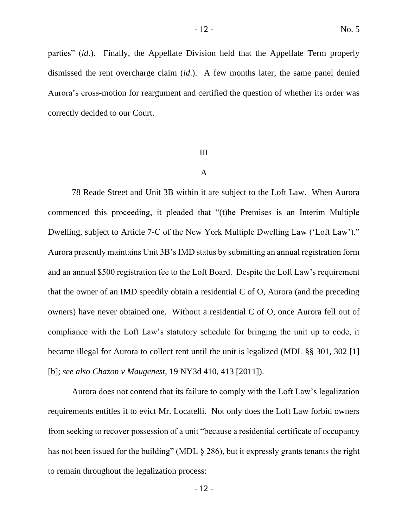parties" (*id*.). Finally, the Appellate Division held that the Appellate Term properly dismissed the rent overcharge claim (*id*.). A few months later, the same panel denied Aurora's cross-motion for reargument and certified the question of whether its order was correctly decided to our Court.

#### III

# A

78 Reade Street and Unit 3B within it are subject to the Loft Law. When Aurora commenced this proceeding, it pleaded that "(t)he Premises is an Interim Multiple Dwelling, subject to Article 7-C of the New York Multiple Dwelling Law ('Loft Law')." Aurora presently maintains Unit 3B's IMD status by submitting an annual registration form and an annual \$500 registration fee to the Loft Board. Despite the Loft Law's requirement that the owner of an IMD speedily obtain a residential C of O, Aurora (and the preceding owners) have never obtained one. Without a residential C of O, once Aurora fell out of compliance with the Loft Law's statutory schedule for bringing the unit up to code, it became illegal for Aurora to collect rent until the unit is legalized (MDL §§ 301, 302 [1] [b]; *see also Chazon v Maugenest*, 19 NY3d 410, 413 [2011]).

Aurora does not contend that its failure to comply with the Loft Law's legalization requirements entitles it to evict Mr. Locatelli. Not only does the Loft Law forbid owners from seeking to recover possession of a unit "because a residential certificate of occupancy has not been issued for the building" (MDL § 286), but it expressly grants tenants the right to remain throughout the legalization process: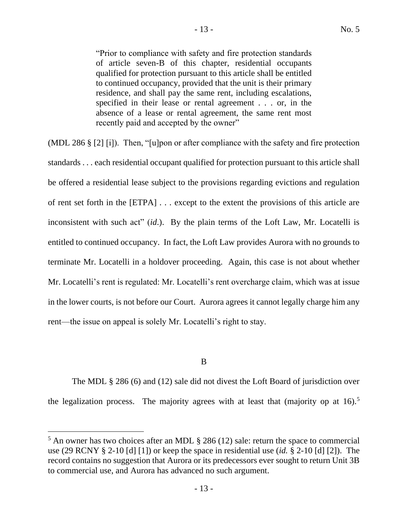"Prior to compliance with safety and fire protection standards of article seven-B of this chapter, residential occupants qualified for protection pursuant to this article shall be entitled to continued occupancy, provided that the unit is their primary residence, and shall pay the same rent, including escalations, specified in their lease or rental agreement . . . or, in the absence of a lease or rental agreement, the same rent most recently paid and accepted by the owner"

(MDL 286 § [2] [i]). Then, "[u]pon or after compliance with the safety and fire protection standards . . . each residential occupant qualified for protection pursuant to this article shall be offered a residential lease subject to the provisions regarding evictions and regulation of rent set forth in the [ETPA] . . . except to the extent the provisions of this article are inconsistent with such act" (*id*.). By the plain terms of the Loft Law, Mr. Locatelli is entitled to continued occupancy. In fact, the Loft Law provides Aurora with no grounds to terminate Mr. Locatelli in a holdover proceeding. Again, this case is not about whether Mr. Locatelli's rent is regulated: Mr. Locatelli's rent overcharge claim, which was at issue in the lower courts, is not before our Court. Aurora agrees it cannot legally charge him any rent—the issue on appeal is solely Mr. Locatelli's right to stay.

# B

The MDL § 286 (6) and (12) sale did not divest the Loft Board of jurisdiction over the legalization process. The majority agrees with at least that (majority op at  $16$ ).<sup>5</sup>

 $<sup>5</sup>$  An owner has two choices after an MDL  $\S$  286 (12) sale: return the space to commercial</sup> use (29 RCNY § 2-10 [d] [1]) or keep the space in residential use (*id.* § 2-10 [d] [2]). The record contains no suggestion that Aurora or its predecessors ever sought to return Unit 3B to commercial use, and Aurora has advanced no such argument.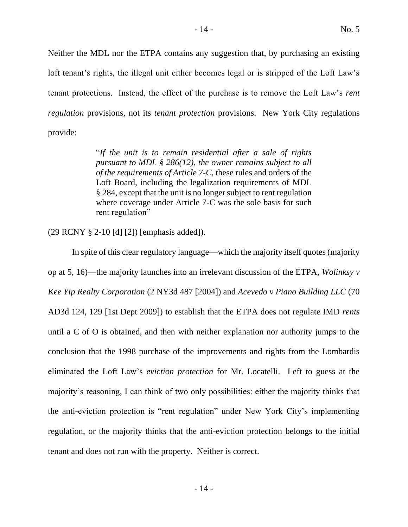Neither the MDL nor the ETPA contains any suggestion that, by purchasing an existing loft tenant's rights, the illegal unit either becomes legal or is stripped of the Loft Law's tenant protections. Instead, the effect of the purchase is to remove the Loft Law's *rent regulation* provisions, not its *tenant protection* provisions. New York City regulations provide:

> "*If the unit is to remain residential after a sale of rights pursuant to MDL § 286(12), the owner remains subject to all of the requirements of Article 7-C*, these rules and orders of the Loft Board, including the legalization requirements of MDL § 284, except that the unit is no longer subject to rent regulation where coverage under Article 7-C was the sole basis for such rent regulation"

(29 RCNY § 2-10 [d] [2]) [emphasis added]).

In spite of this clear regulatory language—which the majority itself quotes (majority op at 5, 16)—the majority launches into an irrelevant discussion of the ETPA, *Wolinksy v Kee Yip Realty Corporation* (2 NY3d 487 [2004]) and *Acevedo v Piano Building LLC* (70 AD3d 124, 129 [1st Dept 2009]) to establish that the ETPA does not regulate IMD *rents* until a C of O is obtained, and then with neither explanation nor authority jumps to the conclusion that the 1998 purchase of the improvements and rights from the Lombardis eliminated the Loft Law's *eviction protection* for Mr. Locatelli. Left to guess at the majority's reasoning, I can think of two only possibilities: either the majority thinks that the anti-eviction protection is "rent regulation" under New York City's implementing regulation, or the majority thinks that the anti-eviction protection belongs to the initial tenant and does not run with the property. Neither is correct.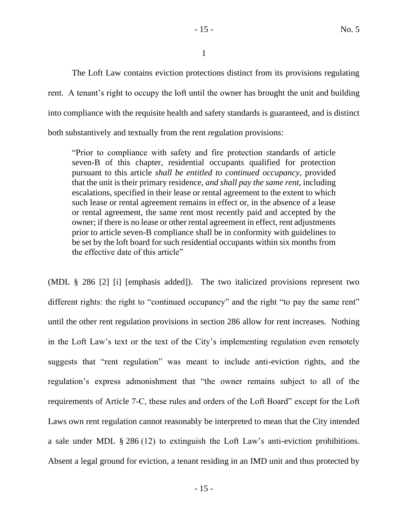- 15 - No. 5

1

The Loft Law contains eviction protections distinct from its provisions regulating rent. A tenant's right to occupy the loft until the owner has brought the unit and building into compliance with the requisite health and safety standards is guaranteed, and is distinct both substantively and textually from the rent regulation provisions:

"Prior to compliance with safety and fire protection standards of article seven-B of this chapter, residential occupants qualified for protection pursuant to this article *shall be entitled to continued occupancy*, provided that the unit is their primary residence, *and shall pay the same rent*, including escalations, specified in their lease or rental agreement to the extent to which such lease or rental agreement remains in effect or, in the absence of a lease or rental agreement, the same rent most recently paid and accepted by the owner; if there is no lease or other rental agreement in effect, rent adjustments prior to article seven-B compliance shall be in conformity with guidelines to be set by the loft board for such residential occupants within six months from the effective date of this article"

(MDL § 286 [2] [i] [emphasis added]). The two italicized provisions represent two different rights: the right to "continued occupancy" and the right "to pay the same rent" until the other rent regulation provisions in section 286 allow for rent increases. Nothing in the Loft Law's text or the text of the City's implementing regulation even remotely suggests that "rent regulation" was meant to include anti-eviction rights, and the regulation's express admonishment that "the owner remains subject to all of the requirements of Article 7-C, these rules and orders of the Loft Board" except for the Loft Laws own rent regulation cannot reasonably be interpreted to mean that the City intended a sale under MDL § 286 (12) to extinguish the Loft Law's anti-eviction prohibitions. Absent a legal ground for eviction, a tenant residing in an IMD unit and thus protected by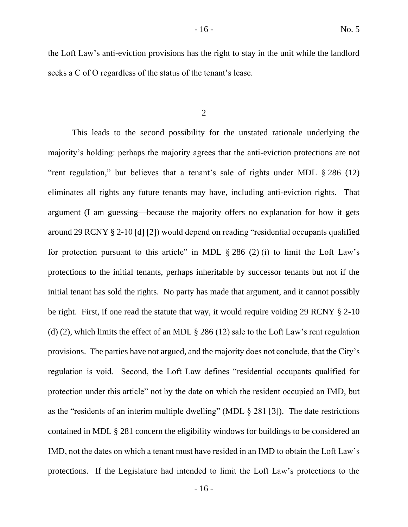the Loft Law's anti-eviction provisions has the right to stay in the unit while the landlord seeks a C of O regardless of the status of the tenant's lease.

2

This leads to the second possibility for the unstated rationale underlying the majority's holding: perhaps the majority agrees that the anti-eviction protections are not "rent regulation," but believes that a tenant's sale of rights under MDL § 286 (12) eliminates all rights any future tenants may have, including anti-eviction rights. That argument (I am guessing—because the majority offers no explanation for how it gets around 29 RCNY § 2-10 [d] [2]) would depend on reading "residential occupants qualified for protection pursuant to this article" in MDL  $\S 286 (2) (i)$  to limit the Loft Law's protections to the initial tenants, perhaps inheritable by successor tenants but not if the initial tenant has sold the rights. No party has made that argument, and it cannot possibly be right. First, if one read the statute that way, it would require voiding 29 RCNY § 2-10 (d) (2), which limits the effect of an MDL § 286 (12) sale to the Loft Law's rent regulation provisions. The parties have not argued, and the majority does not conclude, that the City's regulation is void. Second, the Loft Law defines "residential occupants qualified for protection under this article" not by the date on which the resident occupied an IMD, but as the "residents of an interim multiple dwelling" (MDL § 281 [3]). The date restrictions contained in MDL § 281 concern the eligibility windows for buildings to be considered an IMD, not the dates on which a tenant must have resided in an IMD to obtain the Loft Law's protections. If the Legislature had intended to limit the Loft Law's protections to the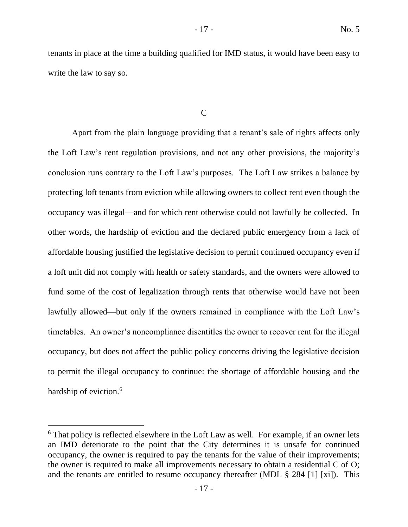tenants in place at the time a building qualified for IMD status, it would have been easy to write the law to say so.

C

Apart from the plain language providing that a tenant's sale of rights affects only the Loft Law's rent regulation provisions, and not any other provisions, the majority's conclusion runs contrary to the Loft Law's purposes. The Loft Law strikes a balance by protecting loft tenants from eviction while allowing owners to collect rent even though the occupancy was illegal—and for which rent otherwise could not lawfully be collected. In other words, the hardship of eviction and the declared public emergency from a lack of affordable housing justified the legislative decision to permit continued occupancy even if a loft unit did not comply with health or safety standards, and the owners were allowed to fund some of the cost of legalization through rents that otherwise would have not been lawfully allowed—but only if the owners remained in compliance with the Loft Law's timetables. An owner's noncompliance disentitles the owner to recover rent for the illegal occupancy, but does not affect the public policy concerns driving the legislative decision to permit the illegal occupancy to continue: the shortage of affordable housing and the hardship of eviction.<sup>6</sup>

 $6$  That policy is reflected elsewhere in the Loft Law as well. For example, if an owner lets an IMD deteriorate to the point that the City determines it is unsafe for continued occupancy, the owner is required to pay the tenants for the value of their improvements; the owner is required to make all improvements necessary to obtain a residential C of O; and the tenants are entitled to resume occupancy thereafter (MDL § 284 [1] [xi]). This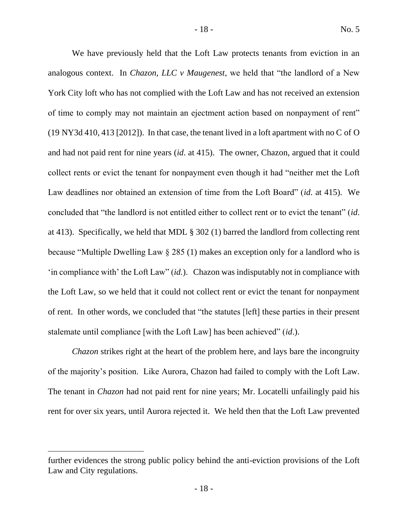We have previously held that the Loft Law protects tenants from eviction in an analogous context. In *Chazon, LLC v Maugenest*, we held that "the landlord of a New York City loft who has not complied with the Loft Law and has not received an extension of time to comply may not maintain an ejectment action based on nonpayment of rent" (19 NY3d 410, 413 [2012]). In that case, the tenant lived in a loft apartment with no C of O and had not paid rent for nine years (*id*. at 415). The owner, Chazon, argued that it could collect rents or evict the tenant for nonpayment even though it had "neither met the Loft Law deadlines nor obtained an extension of time from the Loft Board" (*id*. at 415). We concluded that "the landlord is not entitled either to collect rent or to evict the tenant" (*id*. at 413). Specifically, we held that MDL § 302 (1) barred the landlord from collecting rent because "Multiple Dwelling Law § 285 (1) makes an exception only for a landlord who is 'in compliance with' the Loft Law" (*id.*). Chazon was indisputably not in compliance with the Loft Law, so we held that it could not collect rent or evict the tenant for nonpayment of rent. In other words, we concluded that "the statutes [left] these parties in their present stalemate until compliance [with the Loft Law] has been achieved" (*id*.).

*Chazon* strikes right at the heart of the problem here, and lays bare the incongruity of the majority's position. Like Aurora, Chazon had failed to comply with the Loft Law. The tenant in *Chazon* had not paid rent for nine years; Mr. Locatelli unfailingly paid his rent for over six years, until Aurora rejected it. We held then that the Loft Law prevented

further evidences the strong public policy behind the anti-eviction provisions of the Loft Law and City regulations.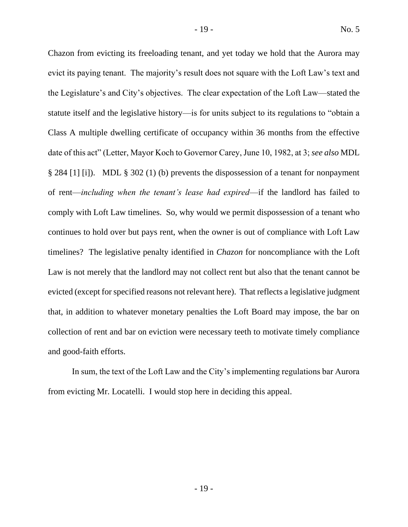Chazon from evicting its freeloading tenant, and yet today we hold that the Aurora may evict its paying tenant. The majority's result does not square with the Loft Law's text and the Legislature's and City's objectives. The clear expectation of the Loft Law—stated the statute itself and the legislative history—is for units subject to its regulations to "obtain a Class A multiple dwelling certificate of occupancy within 36 months from the effective date of this act" (Letter, Mayor Koch to Governor Carey, June 10, 1982, at 3; *see also* MDL § 284 [1] [i]). MDL § 302 (1) (b) prevents the dispossession of a tenant for nonpayment of rent—*including when the tenant's lease had expired*—if the landlord has failed to comply with Loft Law timelines. So, why would we permit dispossession of a tenant who continues to hold over but pays rent, when the owner is out of compliance with Loft Law timelines? The legislative penalty identified in *Chazon* for noncompliance with the Loft Law is not merely that the landlord may not collect rent but also that the tenant cannot be evicted (except for specified reasons not relevant here). That reflects a legislative judgment that, in addition to whatever monetary penalties the Loft Board may impose, the bar on collection of rent and bar on eviction were necessary teeth to motivate timely compliance and good-faith efforts.

In sum, the text of the Loft Law and the City's implementing regulations bar Aurora from evicting Mr. Locatelli. I would stop here in deciding this appeal.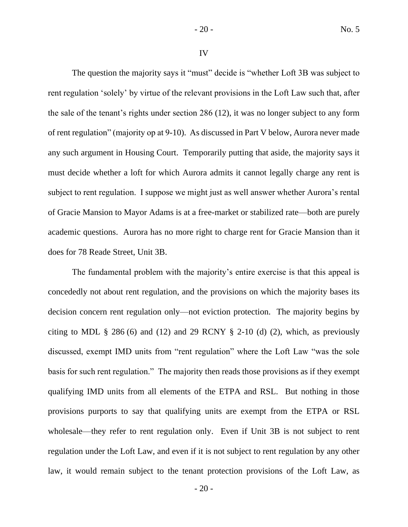IV

The question the majority says it "must" decide is "whether Loft 3B was subject to rent regulation 'solely' by virtue of the relevant provisions in the Loft Law such that, after the sale of the tenant's rights under section 286 (12), it was no longer subject to any form of rent regulation" (majority op at 9-10). As discussed in Part V below, Aurora never made any such argument in Housing Court. Temporarily putting that aside, the majority says it must decide whether a loft for which Aurora admits it cannot legally charge any rent is subject to rent regulation. I suppose we might just as well answer whether Aurora's rental of Gracie Mansion to Mayor Adams is at a free-market or stabilized rate—both are purely academic questions. Aurora has no more right to charge rent for Gracie Mansion than it does for 78 Reade Street, Unit 3B.

The fundamental problem with the majority's entire exercise is that this appeal is concededly not about rent regulation, and the provisions on which the majority bases its decision concern rent regulation only—not eviction protection. The majority begins by citing to MDL § 286 (6) and (12) and 29 RCNY § 2-10 (d) (2), which, as previously discussed, exempt IMD units from "rent regulation" where the Loft Law "was the sole basis for such rent regulation." The majority then reads those provisions as if they exempt qualifying IMD units from all elements of the ETPA and RSL. But nothing in those provisions purports to say that qualifying units are exempt from the ETPA or RSL wholesale—they refer to rent regulation only. Even if Unit 3B is not subject to rent regulation under the Loft Law, and even if it is not subject to rent regulation by any other law, it would remain subject to the tenant protection provisions of the Loft Law, as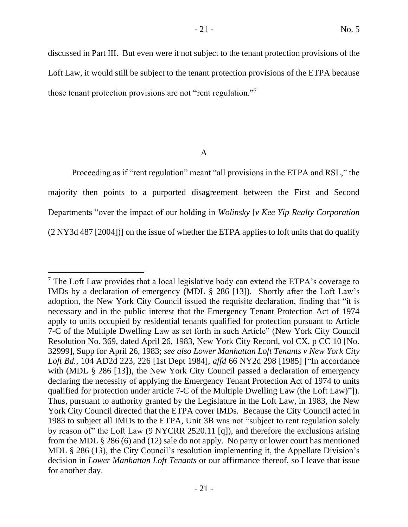discussed in Part III. But even were it not subject to the tenant protection provisions of the Loft Law, it would still be subject to the tenant protection provisions of the ETPA because those tenant protection provisions are not "rent regulation."<sup>7</sup>

A

Proceeding as if "rent regulation" meant "all provisions in the ETPA and RSL," the majority then points to a purported disagreement between the First and Second Departments "over the impact of our holding in *Wolinsky* [*v Kee Yip Realty Corporation* (2 NY3d 487 [2004])] on the issue of whether the ETPA applies to loft units that do qualify

 $<sup>7</sup>$  The Loft Law provides that a local legislative body can extend the ETPA's coverage to</sup> IMDs by a declaration of emergency (MDL § 286 [13]). Shortly after the Loft Law's adoption, the New York City Council issued the requisite declaration, finding that "it is necessary and in the public interest that the Emergency Tenant Protection Act of 1974 apply to units occupied by residential tenants qualified for protection pursuant to Article 7-C of the Multiple Dwelling Law as set forth in such Article" (New York City Council Resolution No. 369, dated April 26, 1983, New York City Record, vol CX, p CC 10 [No. 32999], Supp for April 26, 1983; *see also Lower Manhattan Loft Tenants v New York City Loft Bd.*, 104 AD2d 223, 226 [1st Dept 1984], *affd* 66 NY2d 298 [1985] ["In accordance with (MDL § 286 [13]), the New York City Council passed a declaration of emergency declaring the necessity of applying the Emergency Tenant Protection Act of 1974 to units qualified for protection under article 7-C of the Multiple Dwelling Law (the Loft Law)"]). Thus, pursuant to authority granted by the Legislature in the Loft Law, in 1983, the New York City Council directed that the ETPA cover IMDs. Because the City Council acted in 1983 to subject all IMDs to the ETPA, Unit 3B was not "subject to rent regulation solely by reason of" the Loft Law (9 NYCRR 2520.11 [q]), and therefore the exclusions arising from the MDL § 286 (6) and (12) sale do not apply. No party or lower court has mentioned MDL § 286 (13), the City Council's resolution implementing it, the Appellate Division's decision in *Lower Manhattan Loft Tenants* or our affirmance thereof, so I leave that issue for another day.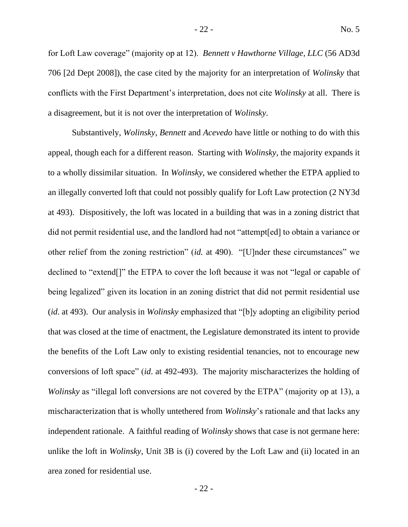for Loft Law coverage" (majority op at 12). *Bennett v Hawthorne Village, LLC* (56 AD3d 706 [2d Dept 2008]), the case cited by the majority for an interpretation of *Wolinsky* that conflicts with the First Department's interpretation, does not cite *Wolinsky* at all. There is a disagreement, but it is not over the interpretation of *Wolinsky*.

Substantively, *Wolinsky*, *Bennett* and *Acevedo* have little or nothing to do with this appeal, though each for a different reason. Starting with *Wolinsky*, the majority expands it to a wholly dissimilar situation. In *Wolinsky*, we considered whether the ETPA applied to an illegally converted loft that could not possibly qualify for Loft Law protection (2 NY3d at 493). Dispositively, the loft was located in a building that was in a zoning district that did not permit residential use, and the landlord had not "attempt[ed] to obtain a variance or other relief from the zoning restriction" (*id.* at 490). "[U]nder these circumstances" we declined to "extend[]" the ETPA to cover the loft because it was not "legal or capable of being legalized" given its location in an zoning district that did not permit residential use (*id*. at 493). Our analysis in *Wolinsky* emphasized that "[b]y adopting an eligibility period that was closed at the time of enactment, the Legislature demonstrated its intent to provide the benefits of the Loft Law only to existing residential tenancies, not to encourage new conversions of loft space" (*id*. at 492-493). The majority mischaracterizes the holding of *Wolinsky* as "illegal loft conversions are not covered by the ETPA" (majority op at 13), a mischaracterization that is wholly untethered from *Wolinsky*'s rationale and that lacks any independent rationale. A faithful reading of *Wolinsky* shows that case is not germane here: unlike the loft in *Wolinsky*, Unit 3B is (i) covered by the Loft Law and (ii) located in an area zoned for residential use.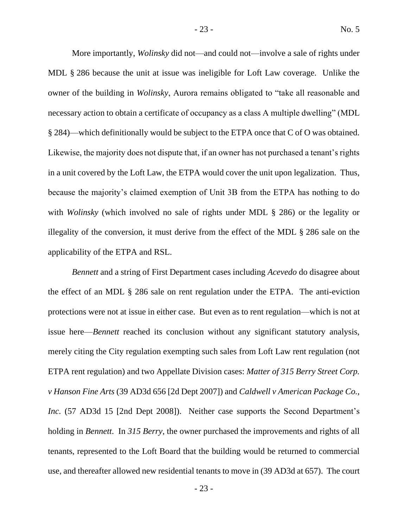More importantly, *Wolinsky* did not—and could not—involve a sale of rights under MDL § 286 because the unit at issue was ineligible for Loft Law coverage. Unlike the owner of the building in *Wolinsky*, Aurora remains obligated to "take all reasonable and necessary action to obtain a certificate of occupancy as a class A multiple dwelling" (MDL § 284)—which definitionally would be subject to the ETPA once that C of O was obtained. Likewise, the majority does not dispute that, if an owner has not purchased a tenant's rights in a unit covered by the Loft Law, the ETPA would cover the unit upon legalization. Thus, because the majority's claimed exemption of Unit 3B from the ETPA has nothing to do with *Wolinsky* (which involved no sale of rights under MDL § 286) or the legality or illegality of the conversion, it must derive from the effect of the MDL § 286 sale on the applicability of the ETPA and RSL.

*Bennett* and a string of First Department cases including *Acevedo* do disagree about the effect of an MDL § 286 sale on rent regulation under the ETPA. The anti-eviction protections were not at issue in either case. But even as to rent regulation—which is not at issue here—*Bennett* reached its conclusion without any significant statutory analysis, merely citing the City regulation exempting such sales from Loft Law rent regulation (not ETPA rent regulation) and two Appellate Division cases: *Matter of 315 Berry Street Corp. v Hanson Fine Arts* (39 AD3d 656 [2d Dept 2007]) and *Caldwell v American Package Co., Inc.* (57 AD3d 15 [2nd Dept 2008]). Neither case supports the Second Department's holding in *Bennett*. In *315 Berry*, the owner purchased the improvements and rights of all tenants, represented to the Loft Board that the building would be returned to commercial use, and thereafter allowed new residential tenants to move in (39 AD3d at 657). The court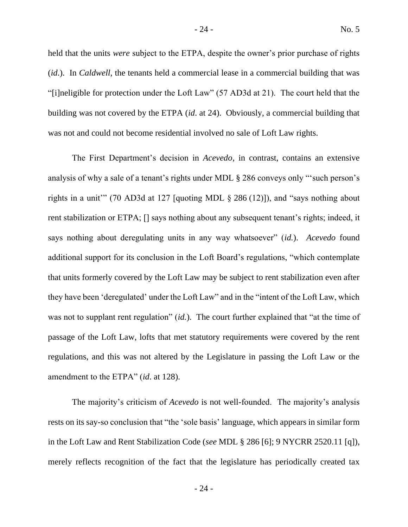held that the units *were* subject to the ETPA, despite the owner's prior purchase of rights (*id*.). In *Caldwell*, the tenants held a commercial lease in a commercial building that was "[i]neligible for protection under the Loft Law" (57 AD3d at 21). The court held that the building was not covered by the ETPA (*id*. at 24). Obviously, a commercial building that was not and could not become residential involved no sale of Loft Law rights.

The First Department's decision in *Acevedo*, in contrast, contains an extensive analysis of why a sale of a tenant's rights under MDL § 286 conveys only "'such person's rights in a unit" (70 AD3d at 127 [quoting MDL  $\S$  286 (12)]), and "says nothing about rent stabilization or ETPA; [] says nothing about any subsequent tenant's rights; indeed, it says nothing about deregulating units in any way whatsoever" (*id.*). *Acevedo* found additional support for its conclusion in the Loft Board's regulations, "which contemplate that units formerly covered by the Loft Law may be subject to rent stabilization even after they have been 'deregulated' under the Loft Law" and in the "intent of the Loft Law, which was not to supplant rent regulation" (*id.*). The court further explained that "at the time of passage of the Loft Law, lofts that met statutory requirements were covered by the rent regulations, and this was not altered by the Legislature in passing the Loft Law or the amendment to the ETPA" (*id*. at 128).

The majority's criticism of *Acevedo* is not well-founded. The majority's analysis rests on its say-so conclusion that "the 'sole basis' language, which appears in similar form in the Loft Law and Rent Stabilization Code (*see* MDL § 286 [6]; 9 NYCRR 2520.11 [q]), merely reflects recognition of the fact that the legislature has periodically created tax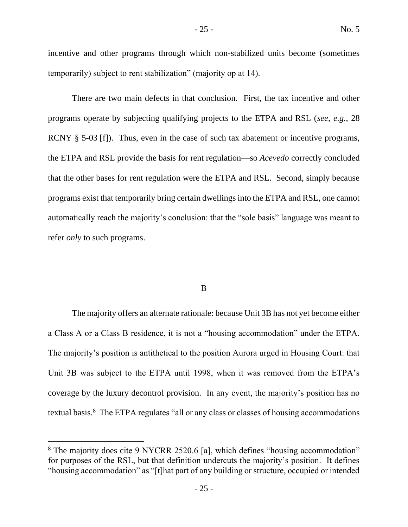incentive and other programs through which non-stabilized units become (sometimes temporarily) subject to rent stabilization" (majority op at 14).

There are two main defects in that conclusion. First, the tax incentive and other programs operate by subjecting qualifying projects to the ETPA and RSL (*see*, *e.g.*, 28 RCNY § 5-03 [f]). Thus, even in the case of such tax abatement or incentive programs, the ETPA and RSL provide the basis for rent regulation—so *Acevedo* correctly concluded that the other bases for rent regulation were the ETPA and RSL. Second, simply because programs exist that temporarily bring certain dwellings into the ETPA and RSL, one cannot automatically reach the majority's conclusion: that the "sole basis" language was meant to refer *only* to such programs.

#### B

The majority offers an alternate rationale: because Unit 3B has not yet become either a Class A or a Class B residence, it is not a "housing accommodation" under the ETPA. The majority's position is antithetical to the position Aurora urged in Housing Court: that Unit 3B was subject to the ETPA until 1998, when it was removed from the ETPA's coverage by the luxury decontrol provision. In any event, the majority's position has no textual basis.<sup>8</sup> The ETPA regulates "all or any class or classes of housing accommodations

<sup>&</sup>lt;sup>8</sup> The majority does cite 9 NYCRR 2520.6 [a], which defines "housing accommodation" for purposes of the RSL, but that definition undercuts the majority's position. It defines "housing accommodation" as "[t]hat part of any building or structure, occupied or intended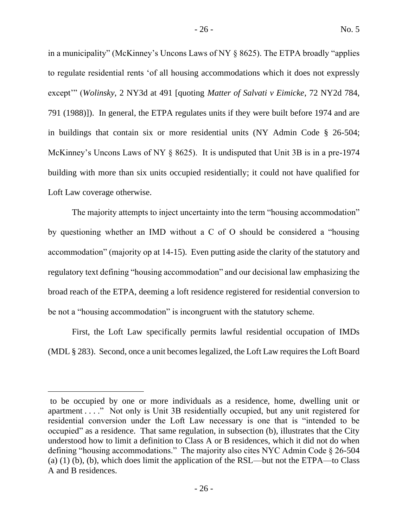in a municipality" (McKinney's Uncons Laws of NY § 8625). The ETPA broadly "applies to regulate residential rents 'of all housing accommodations which it does not expressly except'" (*Wolinsky*, 2 NY3d at 491 [quoting *Matter of Salvati v Eimicke*, 72 NY2d 784, 791 (1988)]). In general, the ETPA regulates units if they were built before 1974 and are in buildings that contain six or more residential units (NY Admin Code § 26-504; McKinney's Uncons Laws of NY § 8625). It is undisputed that Unit 3B is in a pre-1974 building with more than six units occupied residentially; it could not have qualified for Loft Law coverage otherwise.

The majority attempts to inject uncertainty into the term "housing accommodation" by questioning whether an IMD without a C of O should be considered a "housing accommodation" (majority op at 14-15). Even putting aside the clarity of the statutory and regulatory text defining "housing accommodation" and our decisional law emphasizing the broad reach of the ETPA, deeming a loft residence registered for residential conversion to be not a "housing accommodation" is incongruent with the statutory scheme.

First, the Loft Law specifically permits lawful residential occupation of IMDs (MDL § 283). Second, once a unit becomes legalized, the Loft Law requires the Loft Board

to be occupied by one or more individuals as a residence, home, dwelling unit or apartment . . . ." Not only is Unit 3B residentially occupied, but any unit registered for residential conversion under the Loft Law necessary is one that is "intended to be occupied" as a residence. That same regulation, in subsection (b), illustrates that the City understood how to limit a definition to Class A or B residences, which it did not do when defining "housing accommodations." The majority also cites NYC Admin Code § 26-504 (a) (1) (b), (b), which does limit the application of the RSL—but not the ETPA—to Class A and B residences.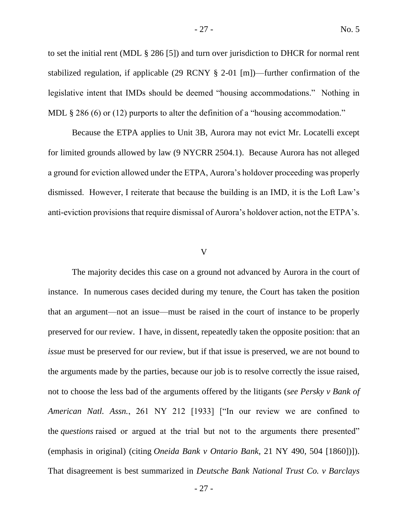to set the initial rent (MDL § 286 [5]) and turn over jurisdiction to DHCR for normal rent stabilized regulation, if applicable (29 RCNY § 2-01 [m])—further confirmation of the legislative intent that IMDs should be deemed "housing accommodations." Nothing in MDL § 286 (6) or (12) purports to alter the definition of a "housing accommodation."

Because the ETPA applies to Unit 3B, Aurora may not evict Mr. Locatelli except for limited grounds allowed by law (9 NYCRR 2504.1). Because Aurora has not alleged a ground for eviction allowed under the ETPA, Aurora's holdover proceeding was properly dismissed. However, I reiterate that because the building is an IMD, it is the Loft Law's anti-eviction provisions that require dismissal of Aurora's holdover action, not the ETPA's.

#### V

The majority decides this case on a ground not advanced by Aurora in the court of instance. In numerous cases decided during my tenure, the Court has taken the position that an argument—not an issue—must be raised in the court of instance to be properly preserved for our review. I have, in dissent, repeatedly taken the opposite position: that an *issue* must be preserved for our review, but if that issue is preserved, we are not bound to the arguments made by the parties, because our job is to resolve correctly the issue raised, not to choose the less bad of the arguments offered by the litigants (*see Persky v Bank of American Natl. Assn.*, 261 NY 212 [1933] ["In our review we are confined to the *questions* raised or argued at the trial but not to the arguments there presented" (emphasis in original) (citing *Oneida Bank v Ontario Bank*, 21 NY 490, 504 [1860])]). That disagreement is best summarized in *Deutsche Bank National Trust Co. v Barclays*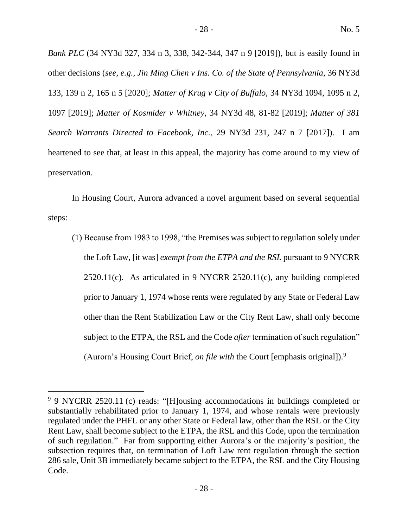*Bank PLC* (34 NY3d 327, 334 n 3, 338, 342-344, 347 n 9 [2019]), but is easily found in other decisions (*see, e.g., Jin Ming Chen v Ins. Co. of the State of Pennsylvania*, 36 NY3d 133, 139 n 2, 165 n 5 [2020]; *Matter of Krug v City of Buffalo*, 34 NY3d 1094, 1095 n 2, 1097 [2019]; *Matter of Kosmider v Whitney*, 34 NY3d 48, 81-82 [2019]; *Matter of 381 Search Warrants Directed to Facebook, Inc.*, 29 NY3d 231, 247 n 7 [2017]). I am heartened to see that, at least in this appeal, the majority has come around to my view of preservation.

In Housing Court, Aurora advanced a novel argument based on several sequential steps:

(1) Because from 1983 to 1998, "the Premises was subject to regulation solely under the Loft Law, [it was] *exempt from the ETPA and the RSL* pursuant to 9 NYCRR  $2520.11(c)$ . As articulated in 9 NYCRR  $2520.11(c)$ , any building completed prior to January 1, 1974 whose rents were regulated by any State or Federal Law other than the Rent Stabilization Law or the City Rent Law, shall only become subject to the ETPA, the RSL and the Code *after* termination of such regulation" (Aurora's Housing Court Brief, *on file with* the Court [emphasis original]).<sup>9</sup>

<sup>&</sup>lt;sup>9</sup> 9 NYCRR 2520.11 (c) reads: "[H]ousing accommodations in buildings completed or substantially rehabilitated prior to January 1, 1974, and whose rentals were previously regulated under the PHFL or any other State or Federal law, other than the RSL or the City Rent Law, shall become subject to the ETPA, the RSL and this Code, upon the termination of such regulation." Far from supporting either Aurora's or the majority's position, the subsection requires that, on termination of Loft Law rent regulation through the section 286 sale, Unit 3B immediately became subject to the ETPA, the RSL and the City Housing Code.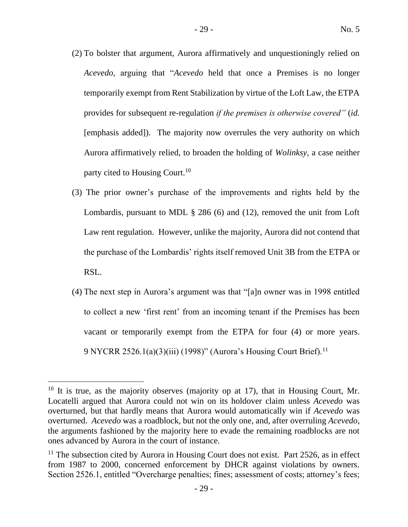- (2) To bolster that argument, Aurora affirmatively and unquestioningly relied on *Acevedo*, arguing that "*Acevedo* held that once a Premises is no longer temporarily exempt from Rent Stabilization by virtue of the Loft Law, the ETPA provides for subsequent re-regulation *if the premises is otherwise covered"* (*id.*  [emphasis added]). The majority now overrules the very authority on which Aurora affirmatively relied, to broaden the holding of *Wolinksy*, a case neither party cited to Housing Court.<sup>10</sup>
- (3) The prior owner's purchase of the improvements and rights held by the Lombardis, pursuant to MDL § 286 (6) and (12), removed the unit from Loft Law rent regulation. However, unlike the majority, Aurora did not contend that the purchase of the Lombardis' rights itself removed Unit 3B from the ETPA or RSL.
- (4) The next step in Aurora's argument was that "[a]n owner was in 1998 entitled to collect a new 'first rent' from an incoming tenant if the Premises has been vacant or temporarily exempt from the ETPA for four (4) or more years. 9 NYCRR 2526.1(a)(3)(iii) (1998)" (Aurora's Housing Court Brief).<sup>11</sup>

 $10$  It is true, as the majority observes (majority op at 17), that in Housing Court, Mr. Locatelli argued that Aurora could not win on its holdover claim unless *Acevedo* was overturned, but that hardly means that Aurora would automatically win if *Acevedo* was overturned. *Acevedo* was a roadblock, but not the only one, and, after overruling *Acevedo*, the arguments fashioned by the majority here to evade the remaining roadblocks are not ones advanced by Aurora in the court of instance.

 $11$  The subsection cited by Aurora in Housing Court does not exist. Part 2526, as in effect from 1987 to 2000, concerned enforcement by DHCR against violations by owners. Section 2526.1, entitled "Overcharge penalties; fines; assessment of costs; attorney's fees;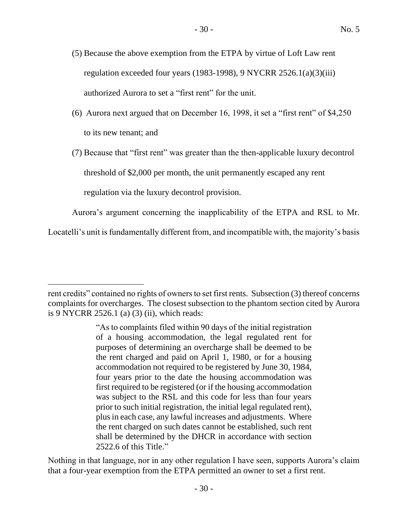- (5) Because the above exemption from the ETPA by virtue of Loft Law rent regulation exceeded four years (1983-1998), 9 NYCRR 2526.1(a)(3)(iii) authorized Aurora to set a "first rent" for the unit.
- (6) Aurora next argued that on December 16, 1998, it set a "first rent" of \$4,250 to its new tenant; and

(7) Because that "first rent" was greater than the then-applicable luxury decontrol threshold of \$2,000 per month, the unit permanently escaped any rent regulation via the luxury decontrol provision.

Aurora's argument concerning the inapplicability of the ETPA and RSL to Mr.

Locatelli's unit is fundamentally different from, and incompatible with, the majority's basis

Nothing in that language, nor in any other regulation I have seen, supports Aurora's claim that a four-year exemption from the ETPA permitted an owner to set a first rent.

rent credits" contained no rights of owners to set first rents. Subsection (3) thereof concerns complaints for overcharges. The closest subsection to the phantom section cited by Aurora is 9 NYCRR 2526.1 (a) (3) (ii), which reads:

<sup>&</sup>quot;As to complaints filed within 90 days of the initial registration of a housing accommodation, the legal regulated rent for purposes of determining an overcharge shall be deemed to be the rent charged and paid on April 1, 1980, or for a housing accommodation not required to be registered by June 30, 1984, four years prior to the date the housing accommodation was first required to be registered (or if the housing accommodation was subject to the RSL and this code for less than four years prior to such initial registration, the initial legal regulated rent), plus in each case, any lawful increases and adjustments. Where the rent charged on such dates cannot be established, such rent shall be determined by the DHCR in accordance with section 2522.6 of this Title."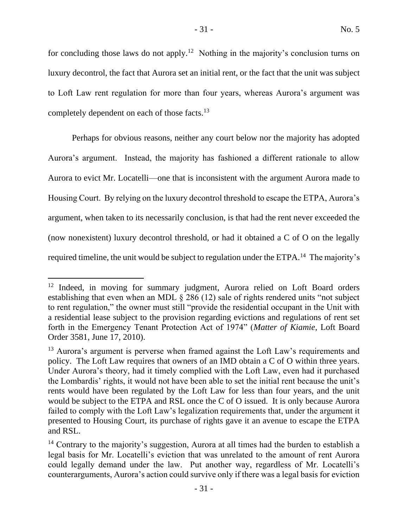for concluding those laws do not apply.<sup>12</sup> Nothing in the majority's conclusion turns on luxury decontrol, the fact that Aurora set an initial rent, or the fact that the unit was subject to Loft Law rent regulation for more than four years, whereas Aurora's argument was completely dependent on each of those facts.<sup>13</sup>

Perhaps for obvious reasons, neither any court below nor the majority has adopted Aurora's argument. Instead, the majority has fashioned a different rationale to allow Aurora to evict Mr. Locatelli—one that is inconsistent with the argument Aurora made to Housing Court. By relying on the luxury decontrol threshold to escape the ETPA, Aurora's argument, when taken to its necessarily conclusion, is that had the rent never exceeded the (now nonexistent) luxury decontrol threshold, or had it obtained a C of O on the legally required timeline, the unit would be subject to regulation under the ETPA.<sup>14</sup> The majority's

<sup>&</sup>lt;sup>12</sup> Indeed, in moving for summary judgment, Aurora relied on Loft Board orders establishing that even when an MDL § 286 (12) sale of rights rendered units "not subject to rent regulation," the owner must still "provide the residential occupant in the Unit with a residential lease subject to the provision regarding evictions and regulations of rent set forth in the Emergency Tenant Protection Act of 1974" (*Matter of Kiamie*, Loft Board Order 3581, June 17, 2010).

<sup>&</sup>lt;sup>13</sup> Aurora's argument is perverse when framed against the Loft Law's requirements and policy. The Loft Law requires that owners of an IMD obtain a C of O within three years. Under Aurora's theory, had it timely complied with the Loft Law, even had it purchased the Lombardis' rights, it would not have been able to set the initial rent because the unit's rents would have been regulated by the Loft Law for less than four years, and the unit would be subject to the ETPA and RSL once the C of O issued. It is only because Aurora failed to comply with the Loft Law's legalization requirements that, under the argument it presented to Housing Court, its purchase of rights gave it an avenue to escape the ETPA and RSL.

<sup>&</sup>lt;sup>14</sup> Contrary to the majority's suggestion, Aurora at all times had the burden to establish a legal basis for Mr. Locatelli's eviction that was unrelated to the amount of rent Aurora could legally demand under the law. Put another way, regardless of Mr. Locatelli's counterarguments, Aurora's action could survive only if there was a legal basis for eviction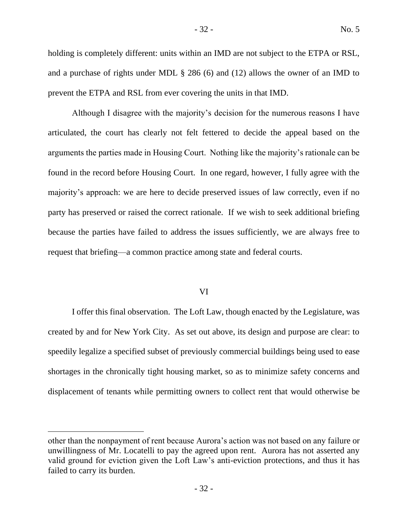holding is completely different: units within an IMD are not subject to the ETPA or RSL, and a purchase of rights under MDL § 286 (6) and (12) allows the owner of an IMD to prevent the ETPA and RSL from ever covering the units in that IMD.

Although I disagree with the majority's decision for the numerous reasons I have articulated, the court has clearly not felt fettered to decide the appeal based on the arguments the parties made in Housing Court. Nothing like the majority's rationale can be found in the record before Housing Court. In one regard, however, I fully agree with the majority's approach: we are here to decide preserved issues of law correctly, even if no party has preserved or raised the correct rationale. If we wish to seek additional briefing because the parties have failed to address the issues sufficiently, we are always free to request that briefing—a common practice among state and federal courts.

# VI

I offer this final observation. The Loft Law, though enacted by the Legislature, was created by and for New York City. As set out above, its design and purpose are clear: to speedily legalize a specified subset of previously commercial buildings being used to ease shortages in the chronically tight housing market, so as to minimize safety concerns and displacement of tenants while permitting owners to collect rent that would otherwise be

other than the nonpayment of rent because Aurora's action was not based on any failure or unwillingness of Mr. Locatelli to pay the agreed upon rent. Aurora has not asserted any valid ground for eviction given the Loft Law's anti-eviction protections, and thus it has failed to carry its burden.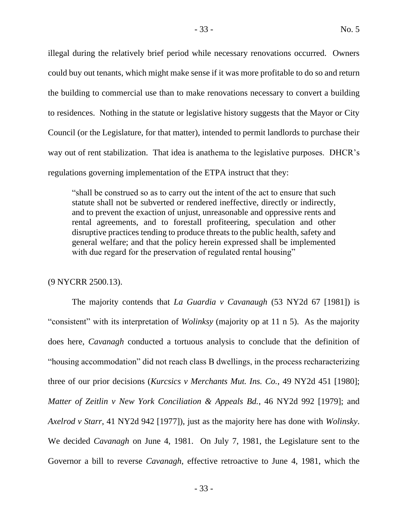illegal during the relatively brief period while necessary renovations occurred. Owners could buy out tenants, which might make sense if it was more profitable to do so and return the building to commercial use than to make renovations necessary to convert a building to residences. Nothing in the statute or legislative history suggests that the Mayor or City Council (or the Legislature, for that matter), intended to permit landlords to purchase their way out of rent stabilization. That idea is anathema to the legislative purposes. DHCR's regulations governing implementation of the ETPA instruct that they:

"shall be construed so as to carry out the intent of the act to ensure that such statute shall not be subverted or rendered ineffective, directly or indirectly, and to prevent the exaction of unjust, unreasonable and oppressive rents and rental agreements, and to forestall profiteering, speculation and other disruptive practices tending to produce threats to the public health, safety and general welfare; and that the policy herein expressed shall be implemented with due regard for the preservation of regulated rental housing"

(9 NYCRR 2500.13).

The majority contends that *La Guardia v Cavanaugh* (53 NY2d 67 [1981]) is "consistent" with its interpretation of *Wolinksy* (majority op at 11 n 5). As the majority does here, *Cavanagh* conducted a tortuous analysis to conclude that the definition of "housing accommodation" did not reach class B dwellings, in the process recharacterizing three of our prior decisions (*Kurcsics v Merchants Mut. Ins. Co.*, 49 NY2d 451 [1980]; *Matter of Zeitlin v New York Conciliation & Appeals Bd.*, 46 NY2d 992 [1979]; and *Axelrod v Starr*, 41 NY2d 942 [1977]), just as the majority here has done with *Wolinsky*. We decided *Cavanagh* on June 4, 1981. On July 7, 1981, the Legislature sent to the Governor a bill to reverse *Cavanagh*, effective retroactive to June 4, 1981, which the